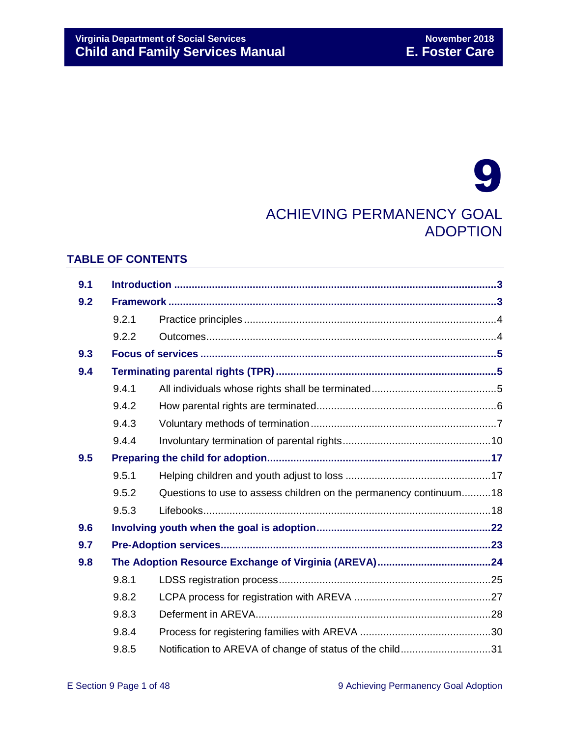# 9 ACHIEVING PERMANENCY GOAL ADOPTION

# **TABLE OF CONTENTS**

| 9.1 |       |                                                                   |  |
|-----|-------|-------------------------------------------------------------------|--|
| 9.2 |       |                                                                   |  |
|     | 9.2.1 |                                                                   |  |
|     | 9.2.2 |                                                                   |  |
| 9.3 |       |                                                                   |  |
| 9.4 |       |                                                                   |  |
|     | 9.4.1 |                                                                   |  |
|     | 9.4.2 |                                                                   |  |
|     | 9.4.3 |                                                                   |  |
|     | 9.4.4 |                                                                   |  |
| 9.5 |       |                                                                   |  |
|     | 9.5.1 |                                                                   |  |
|     | 9.5.2 | Questions to use to assess children on the permanency continuum18 |  |
|     | 9.5.3 |                                                                   |  |
| 9.6 |       |                                                                   |  |
| 9.7 |       |                                                                   |  |
| 9.8 |       |                                                                   |  |
|     | 9.8.1 |                                                                   |  |
|     | 9.8.2 |                                                                   |  |
|     | 9.8.3 |                                                                   |  |
|     | 9.8.4 |                                                                   |  |
|     | 9.8.5 | Notification to AREVA of change of status of the child31          |  |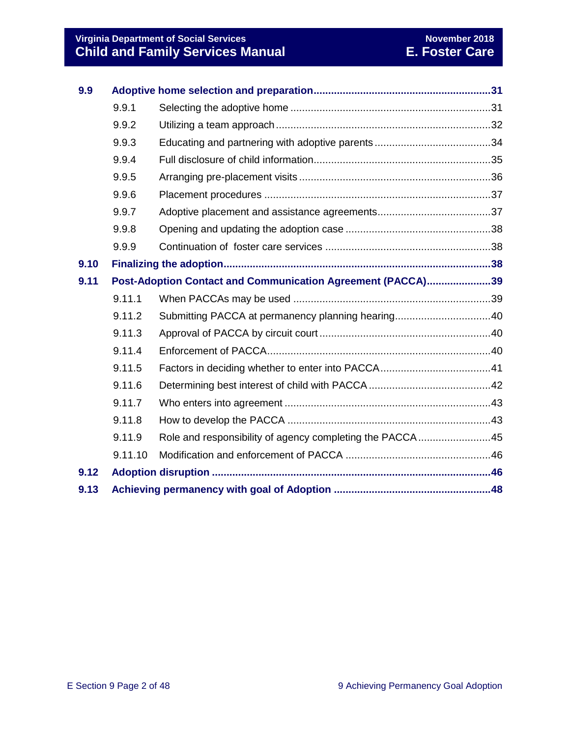# **Virginia Department of Social Services November 2018 Child and Family Services Manual E. Foster Care**

| 9.9  |         |                                                             |  |  |
|------|---------|-------------------------------------------------------------|--|--|
|      | 9.9.1   |                                                             |  |  |
|      | 9.9.2   |                                                             |  |  |
|      | 9.9.3   |                                                             |  |  |
|      | 9.9.4   |                                                             |  |  |
|      | 9.9.5   |                                                             |  |  |
|      | 9.9.6   |                                                             |  |  |
|      | 9.9.7   |                                                             |  |  |
|      | 9.9.8   |                                                             |  |  |
|      | 9.9.9   |                                                             |  |  |
| 9.10 |         |                                                             |  |  |
| 9.11 |         | Post-Adoption Contact and Communication Agreement (PACCA)39 |  |  |
|      | 9.11.1  |                                                             |  |  |
|      | 9.11.2  |                                                             |  |  |
|      | 9.11.3  |                                                             |  |  |
|      | 9.11.4  |                                                             |  |  |
|      | 9.11.5  |                                                             |  |  |
|      | 9.11.6  |                                                             |  |  |
|      | 9.11.7  |                                                             |  |  |
|      | 9.11.8  |                                                             |  |  |
|      | 9.11.9  | Role and responsibility of agency completing the PACCA45    |  |  |
|      | 9.11.10 |                                                             |  |  |
| 9.12 |         |                                                             |  |  |
| 9.13 |         |                                                             |  |  |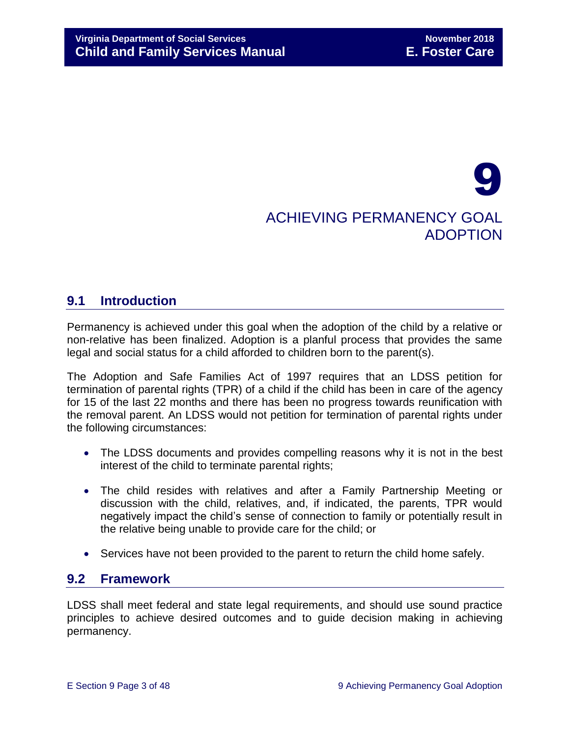# 9 ACHIEVING PERMANENCY GOAL ADOPTION

# <span id="page-2-0"></span>**9.1 Introduction**

Permanency is achieved under this goal when the adoption of the child by a relative or non-relative has been finalized. Adoption is a planful process that provides the same legal and social status for a child afforded to children born to the parent(s).

The Adoption and Safe Families Act of 1997 requires that an LDSS petition for termination of parental rights (TPR) of a child if the child has been in care of the agency for 15 of the last 22 months and there has been no progress towards reunification with the removal parent. An LDSS would not petition for termination of parental rights under the following circumstances:

- The LDSS documents and provides compelling reasons why it is not in the best interest of the child to terminate parental rights;
- The child resides with relatives and after a Family Partnership Meeting or discussion with the child, relatives, and, if indicated, the parents, TPR would negatively impact the child's sense of connection to family or potentially result in the relative being unable to provide care for the child; or
- Services have not been provided to the parent to return the child home safely.

# <span id="page-2-1"></span>**9.2 Framework**

LDSS shall meet federal and state legal requirements, and should use sound practice principles to achieve desired outcomes and to guide decision making in achieving permanency.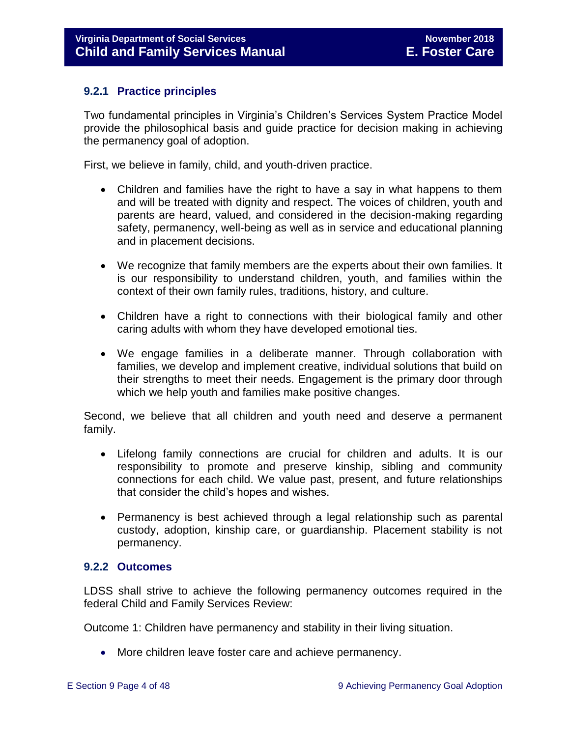# <span id="page-3-0"></span>**9.2.1 Practice principles**

Two fundamental principles in Virginia's Children's Services System Practice Model provide the philosophical basis and guide practice for decision making in achieving the permanency goal of adoption.

First, we believe in family, child, and youth-driven practice.

- Children and families have the right to have a say in what happens to them and will be treated with dignity and respect. The voices of children, youth and parents are heard, valued, and considered in the decision-making regarding safety, permanency, well-being as well as in service and educational planning and in placement decisions.
- We recognize that family members are the experts about their own families. It is our responsibility to understand children, youth, and families within the context of their own family rules, traditions, history, and culture.
- Children have a right to connections with their biological family and other caring adults with whom they have developed emotional ties.
- We engage families in a deliberate manner. Through collaboration with families, we develop and implement creative, individual solutions that build on their strengths to meet their needs. Engagement is the primary door through which we help youth and families make positive changes.

Second, we believe that all children and youth need and deserve a permanent family.

- Lifelong family connections are crucial for children and adults. It is our responsibility to promote and preserve kinship, sibling and community connections for each child. We value past, present, and future relationships that consider the child's hopes and wishes.
- Permanency is best achieved through a legal relationship such as parental custody, adoption, kinship care, or guardianship. Placement stability is not permanency.

# <span id="page-3-1"></span>**9.2.2 Outcomes**

LDSS shall strive to achieve the following permanency outcomes required in the federal Child and Family Services Review:

Outcome 1: Children have permanency and stability in their living situation.

More children leave foster care and achieve permanency.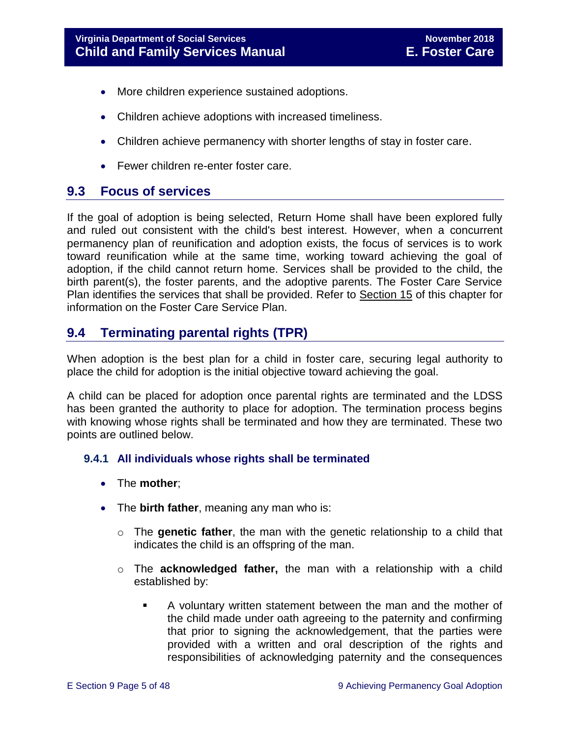- More children experience sustained adoptions.
- Children achieve adoptions with increased timeliness.
- Children achieve permanency with shorter lengths of stay in foster care.
- Fewer children re-enter foster care.

# <span id="page-4-0"></span>**9.3 Focus of services**

If the goal of adoption is being selected, Return Home shall have been explored fully and ruled out consistent with the child's best interest. However, when a concurrent permanency plan of reunification and adoption exists, the focus of services is to work toward reunification while at the same time, working toward achieving the goal of adoption, if the child cannot return home. Services shall be provided to the child, the birth parent(s), the foster parents, and the adoptive parents. The Foster Care Service Plan identifies the services that shall be provided. Refer to Section 15 of this chapter for information on the Foster Care Service Plan.

# <span id="page-4-1"></span>**9.4 Terminating parental rights (TPR)**

When adoption is the best plan for a child in foster care, securing legal authority to place the child for adoption is the initial objective toward achieving the goal.

A child can be placed for adoption once parental rights are terminated and the LDSS has been granted the authority to place for adoption. The termination process begins with knowing whose rights shall be terminated and how they are terminated. These two points are outlined below.

# <span id="page-4-2"></span>**9.4.1 All individuals whose rights shall be terminated**

- The **mother**;
- The **birth father**, meaning any man who is:
	- o The **genetic father**, the man with the genetic relationship to a child that indicates the child is an offspring of the man.
	- o The **acknowledged father,** the man with a relationship with a child established by:
		- A voluntary written statement between the man and the mother of the child made under oath agreeing to the paternity and confirming that prior to signing the acknowledgement, that the parties were provided with a written and oral description of the rights and responsibilities of acknowledging paternity and the consequences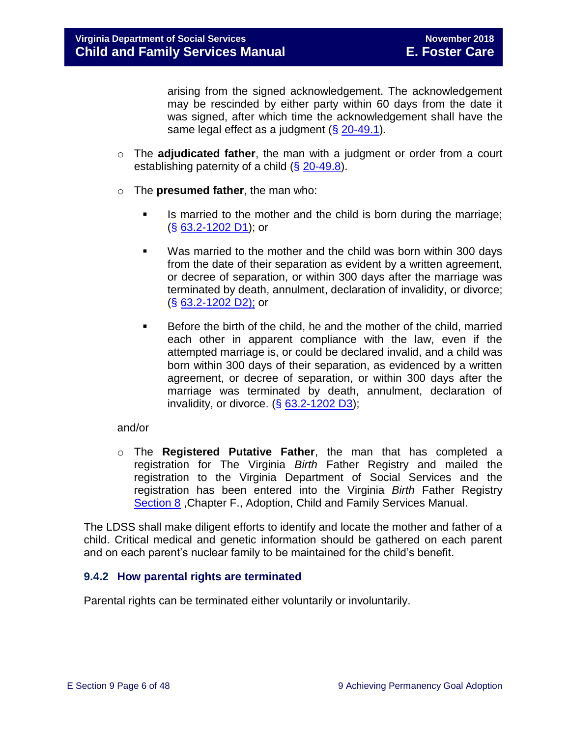arising from the signed acknowledgement. The acknowledgement may be rescinded by either party within 60 days from the date it was signed, after which time the acknowledgement shall have the same legal effect as a judgment  $(\S 20-49.1)$  $(\S 20-49.1)$ .

- o The **adjudicated father**, the man with a judgment or order from a court establishing paternity of a child (§ [20-49.8\)](http://law.lis.virginia.gov/vacode/20-49.8/).
- o The **presumed father**, the man who:
	- **IS married to the mother and the child is born during the marriage;** (§ [63.2-1202 D1\)](http://law.lis.virginia.gov/vacode/63.2-1202/); or
	- Was married to the mother and the child was born within 300 days from the date of their separation as evident by a written agreement, or decree of separation, or within 300 days after the marriage was terminated by death, annulment, declaration of invalidity, or divorce; (§ [63.2-1202 D2\);](http://law.lis.virginia.gov/vacode/63.2-1202/) or
	- Before the birth of the child, he and the mother of the child, married each other in apparent compliance with the law, even if the attempted marriage is, or could be declared invalid, and a child was born within 300 days of their separation, as evidenced by a written agreement, or decree of separation, or within 300 days after the marriage was terminated by death, annulment, declaration of invalidity, or divorce.  $( $\S$  63.2-1202 D3)$  $( $\S$  63.2-1202 D3)$ ;

# and/or

o The **Registered Putative Father**, the man that has completed a registration for The Virginia *Birth* Father Registry and mailed the registration to the Virginia Department of Social Services and the registration has been entered into the Virginia *Birth* Father Registry [Section 8](file://///Vaultcelerra.co.dss.state.va.us/Workgroup/Family_Services/DFS%20Child%20and%20Family%20Services%20Manual/E.%20Foster%20Care/Foster%20Care%20June%202017/section_8_achieving_permanency_goal_return_home.docx) ,Chapter F., Adoption, Child and Family Services Manual.

The LDSS shall make diligent efforts to identify and locate the mother and father of a child. Critical medical and genetic information should be gathered on each parent and on each parent's nuclear family to be maintained for the child's benefit.

# <span id="page-5-0"></span>**9.4.2 How parental rights are terminated**

Parental rights can be terminated either voluntarily or involuntarily.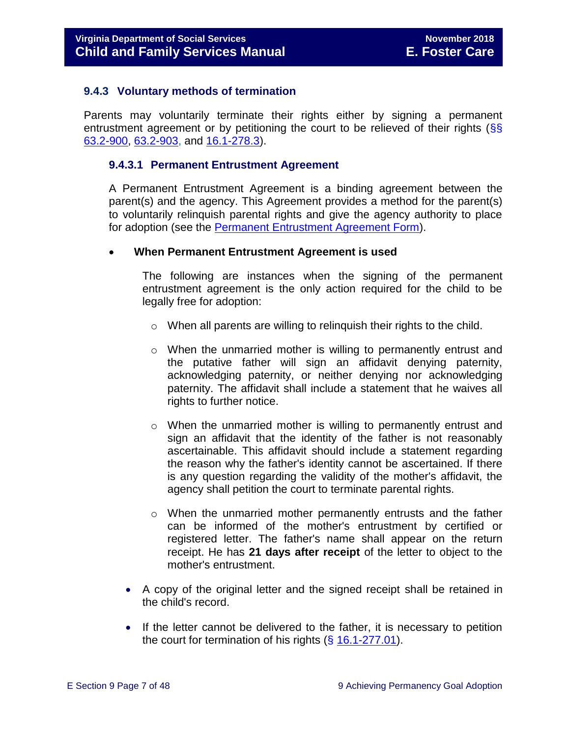### <span id="page-6-0"></span>**9.4.3 Voluntary methods of termination**

Parents may voluntarily terminate their rights either by signing a permanent entrustment agreement or by petitioning the court to be relieved of their rights  $\frac{\sqrt{SS}}{SS}$ [63.2-900,](http://law.lis.virginia.gov/vacode/63.2-900/) [63.2-903,](http://law.lis.virginia.gov/vacode/63.2-903/) and [16.1-278.3\)](http://law.lis.virginia.gov/vacode/16.1-278.3/).

#### **9.4.3.1 Permanent Entrustment Agreement**

A Permanent Entrustment Agreement is a binding agreement between the parent(s) and the agency. This Agreement provides a method for the parent(s) to voluntarily relinquish parental rights and give the agency authority to place for adoption (see the [Permanent Entrustment Agreement Form\)](http://www.dss.virginia.gov/files/division/dfs/ap/intro_page/forms/032-02-0024-04-eng.pdf).

#### **When Permanent Entrustment Agreement is used**

The following are instances when the signing of the permanent entrustment agreement is the only action required for the child to be legally free for adoption:

- o When all parents are willing to relinquish their rights to the child.
- o When the unmarried mother is willing to permanently entrust and the putative father will sign an affidavit denying paternity, acknowledging paternity, or neither denying nor acknowledging paternity. The affidavit shall include a statement that he waives all rights to further notice.
- o When the unmarried mother is willing to permanently entrust and sign an affidavit that the identity of the father is not reasonably ascertainable. This affidavit should include a statement regarding the reason why the father's identity cannot be ascertained. If there is any question regarding the validity of the mother's affidavit, the agency shall petition the court to terminate parental rights.
- o When the unmarried mother permanently entrusts and the father can be informed of the mother's entrustment by certified or registered letter. The father's name shall appear on the return receipt. He has **21 days after receipt** of the letter to object to the mother's entrustment.
- A copy of the original letter and the signed receipt shall be retained in the child's record.
- If the letter cannot be delivered to the father, it is necessary to petition the court for termination of his rights  $(\S 16.1-277.01)$  $(\S 16.1-277.01)$ .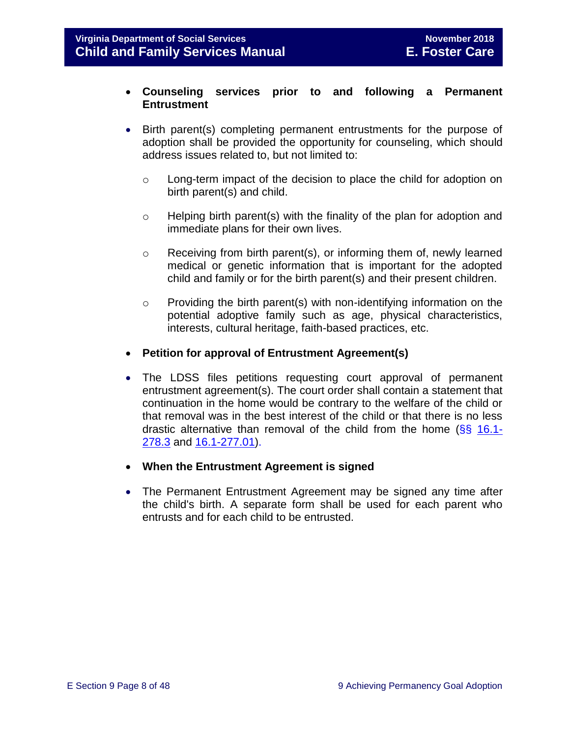### **Counseling services prior to and following a Permanent Entrustment**

- Birth parent(s) completing permanent entrustments for the purpose of adoption shall be provided the opportunity for counseling, which should address issues related to, but not limited to:
	- o Long-term impact of the decision to place the child for adoption on birth parent(s) and child.
	- o Helping birth parent(s) with the finality of the plan for adoption and immediate plans for their own lives.
	- $\circ$  Receiving from birth parent(s), or informing them of, newly learned medical or genetic information that is important for the adopted child and family or for the birth parent(s) and their present children.
	- o Providing the birth parent(s) with non-identifying information on the potential adoptive family such as age, physical characteristics, interests, cultural heritage, faith-based practices, etc.
- **Petition for approval of Entrustment Agreement(s)**
- The LDSS files petitions requesting court approval of permanent entrustment agreement(s). The court order shall contain a statement that continuation in the home would be contrary to the welfare of the child or that removal was in the best interest of the child or that there is no less drastic alternative than removal of the child from the home (§§ [16.1-](http://law.lis.virginia.gov/vacode/16.1-278.3/) [278.3](http://law.lis.virginia.gov/vacode/16.1-278.3/) and [16.1-277.01\)](http://law.lis.virginia.gov/vacode/16.1-277.01/).
- **When the Entrustment Agreement is signed**
- The Permanent Entrustment Agreement may be signed any time after the child's birth. A separate form shall be used for each parent who entrusts and for each child to be entrusted.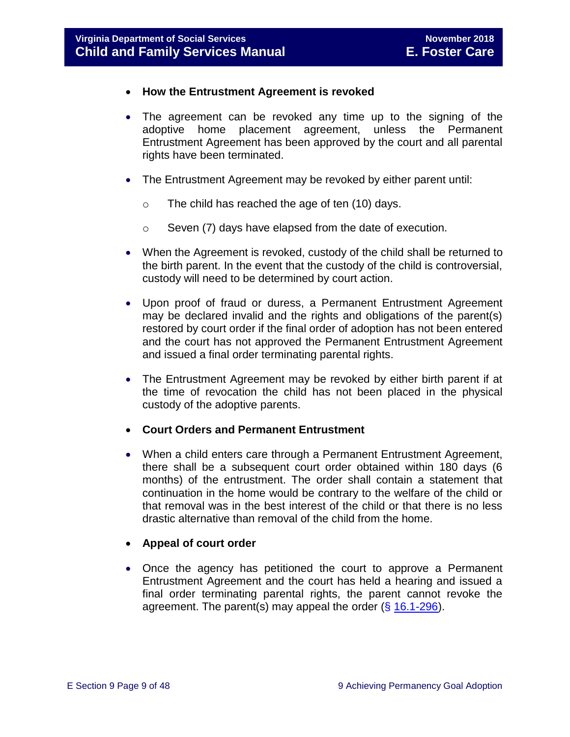- **How the Entrustment Agreement is revoked**
- The agreement can be revoked any time up to the signing of the adoptive home placement agreement, unless the Permanent Entrustment Agreement has been approved by the court and all parental rights have been terminated.
- The Entrustment Agreement may be revoked by either parent until:
	- o The child has reached the age of ten (10) days.
	- o Seven (7) days have elapsed from the date of execution.
- When the Agreement is revoked, custody of the child shall be returned to the birth parent. In the event that the custody of the child is controversial, custody will need to be determined by court action.
- Upon proof of fraud or duress, a Permanent Entrustment Agreement may be declared invalid and the rights and obligations of the parent(s) restored by court order if the final order of adoption has not been entered and the court has not approved the Permanent Entrustment Agreement and issued a final order terminating parental rights.
- The Entrustment Agreement may be revoked by either birth parent if at the time of revocation the child has not been placed in the physical custody of the adoptive parents.
- **Court Orders and Permanent Entrustment**
- When a child enters care through a Permanent Entrustment Agreement, there shall be a subsequent court order obtained within 180 days (6 months) of the entrustment. The order shall contain a statement that continuation in the home would be contrary to the welfare of the child or that removal was in the best interest of the child or that there is no less drastic alternative than removal of the child from the home.

# **Appeal of court order**

• Once the agency has petitioned the court to approve a Permanent Entrustment Agreement and the court has held a hearing and issued a final order terminating parental rights, the parent cannot revoke the agreement. The parent(s) may appeal the order  $(\S 16.1-296)$  $(\S 16.1-296)$ .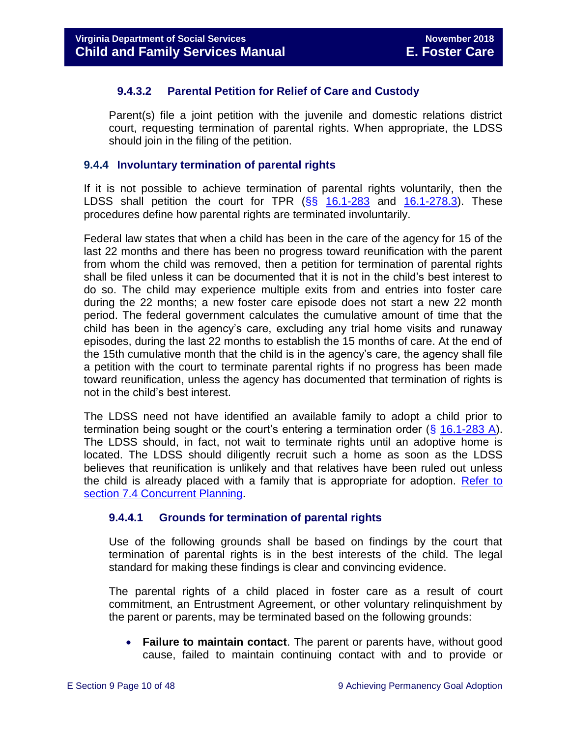# **9.4.3.2 Parental Petition for Relief of Care and Custody**

Parent(s) file a joint petition with the juvenile and domestic relations district court, requesting termination of parental rights. When appropriate, the LDSS should join in the filing of the petition.

### <span id="page-9-0"></span>**9.4.4 Involuntary termination of parental rights**

If it is not possible to achieve termination of parental rights voluntarily, then the LDSS shall petition the court for TPR  $(\frac{65}{5})$  [16.1-283](http://law.lis.virginia.gov/vacode/16.1-283/) and [16.1-278.3\)](http://law.lis.virginia.gov/vacode/16.1-278.3/). These procedures define how parental rights are terminated involuntarily.

Federal law states that when a child has been in the care of the agency for 15 of the last 22 months and there has been no progress toward reunification with the parent from whom the child was removed, then a petition for termination of parental rights shall be filed unless it can be documented that it is not in the child's best interest to do so. The child may experience multiple exits from and entries into foster care during the 22 months; a new foster care episode does not start a new 22 month period. The federal government calculates the cumulative amount of time that the child has been in the agency's care, excluding any trial home visits and runaway episodes, during the last 22 months to establish the 15 months of care. At the end of the 15th cumulative month that the child is in the agency's care, the agency shall file a petition with the court to terminate parental rights if no progress has been made toward reunification, unless the agency has documented that termination of rights is not in the child's best interest.

The LDSS need not have identified an available family to adopt a child prior to termination being sought or the court's entering a termination order (§ [16.1-283 A\)](http://law.lis.virginia.gov/vacode/16.1-283/). The LDSS should, in fact, not wait to terminate rights until an adoptive home is located. The LDSS should diligently recruit such a home as soon as the LDSS believes that reunification is unlikely and that relatives have been ruled out unless the child is already placed with a family that is appropriate for adoption. [Refer to](file://///Vaultcelerra.co.dss.state.va.us/Workgroup/Family_Services/DFS%20Child%20and%20Family%20Services%20Manual/E.%20Foster%20Care/Foster%20Care%20June%202017/section_7_selecting_permanency_goals.docx)  [section 7.4 Concurrent Planning.](file://///Vaultcelerra.co.dss.state.va.us/Workgroup/Family_Services/DFS%20Child%20and%20Family%20Services%20Manual/E.%20Foster%20Care/Foster%20Care%20June%202017/section_7_selecting_permanency_goals.docx)

# **9.4.4.1 Grounds for termination of parental rights**

Use of the following grounds shall be based on findings by the court that termination of parental rights is in the best interests of the child. The legal standard for making these findings is clear and convincing evidence.

The parental rights of a child placed in foster care as a result of court commitment, an Entrustment Agreement, or other voluntary relinquishment by the parent or parents, may be terminated based on the following grounds:

 **Failure to maintain contact**. The parent or parents have, without good cause, failed to maintain continuing contact with and to provide or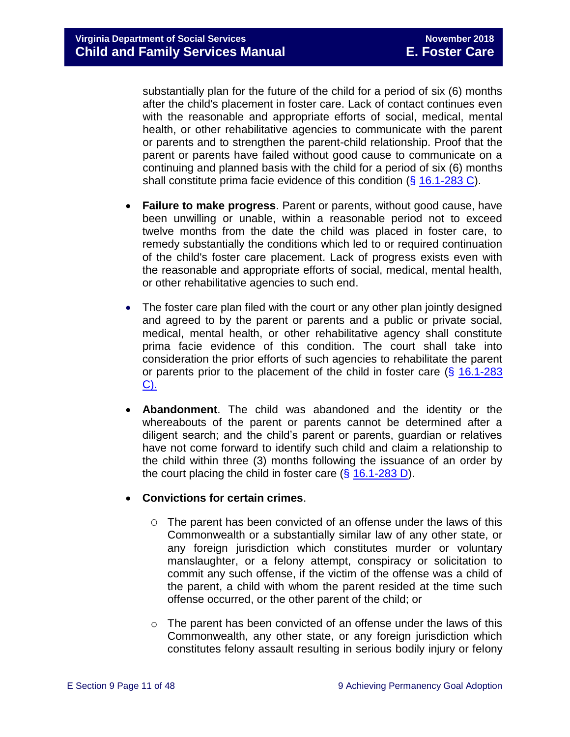substantially plan for the future of the child for a period of six (6) months after the child's placement in foster care. Lack of contact continues even with the reasonable and appropriate efforts of social, medical, mental health, or other rehabilitative agencies to communicate with the parent or parents and to strengthen the parent-child relationship. Proof that the parent or parents have failed without good cause to communicate on a continuing and planned basis with the child for a period of six (6) months shall constitute prima facie evidence of this condition (§ [16.1-283 C\)](http://law.lis.virginia.gov/vacode/16.1-283/).

- **Failure to make progress**. Parent or parents, without good cause, have been unwilling or unable, within a reasonable period not to exceed twelve months from the date the child was placed in foster care, to remedy substantially the conditions which led to or required continuation of the child's foster care placement. Lack of progress exists even with the reasonable and appropriate efforts of social, medical, mental health, or other rehabilitative agencies to such end.
- The foster care plan filed with the court or any other plan jointly designed and agreed to by the parent or parents and a public or private social, medical, mental health, or other rehabilitative agency shall constitute prima facie evidence of this condition. The court shall take into consideration the prior efforts of such agencies to rehabilitate the parent or parents prior to the placement of the child in foster care  $(\S$  16.1-283 [C\).](http://law.lis.virginia.gov/vacode/16.1-283/)
- **Abandonment**. The child was abandoned and the identity or the whereabouts of the parent or parents cannot be determined after a diligent search; and the child's parent or parents, guardian or relatives have not come forward to identify such child and claim a relationship to the child within three (3) months following the issuance of an order by the court placing the child in foster care  $(\S 16.1\n-283 D)$ .

# **Convictions for certain crimes**.

- O The parent has been convicted of an offense under the laws of this Commonwealth or a substantially similar law of any other state, or any foreign jurisdiction which constitutes murder or voluntary manslaughter, or a felony attempt, conspiracy or solicitation to commit any such offense, if the victim of the offense was a child of the parent, a child with whom the parent resided at the time such offense occurred, or the other parent of the child; or
- $\circ$  The parent has been convicted of an offense under the laws of this Commonwealth, any other state, or any foreign jurisdiction which constitutes felony assault resulting in serious bodily injury or felony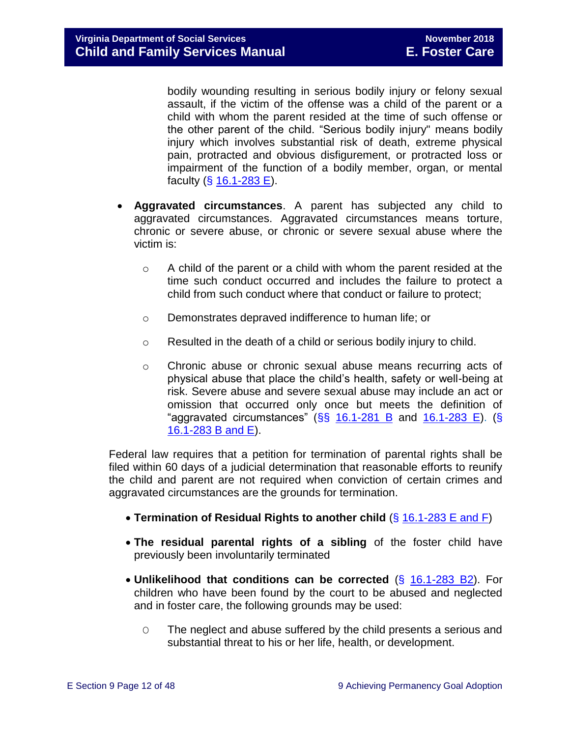bodily wounding resulting in serious bodily injury or felony sexual assault, if the victim of the offense was a child of the parent or a child with whom the parent resided at the time of such offense or the other parent of the child. "Serious bodily injury" means bodily injury which involves substantial risk of death, extreme physical pain, protracted and obvious disfigurement, or protracted loss or impairment of the function of a bodily member, organ, or mental faculty (§ [16.1-283 E\)](http://law.lis.virginia.gov/vacode/16.1-283/).

- **Aggravated circumstances**. A parent has subjected any child to aggravated circumstances. Aggravated circumstances means torture, chronic or severe abuse, or chronic or severe sexual abuse where the victim is:
	- $\circ$  A child of the parent or a child with whom the parent resided at the time such conduct occurred and includes the failure to protect a child from such conduct where that conduct or failure to protect;
	- o Demonstrates depraved indifference to human life; or
	- o Resulted in the death of a child or serious bodily injury to child.
	- $\circ$  Chronic abuse or chronic sexual abuse means recurring acts of physical abuse that place the child's health, safety or well-being at risk. Severe abuse and severe sexual abuse may include an act or omission that occurred only once but meets the definition of "aggravated circumstances"  $(SS \ 16.1-281 \ B$  and  $16.1-283 \ E)$ . (S) [16.1-283 B and E\)](http://law.lis.virginia.gov/vacode/16.1-283/).

Federal law requires that a petition for termination of parental rights shall be filed within 60 days of a judicial determination that reasonable efforts to reunify the child and parent are not required when conviction of certain crimes and aggravated circumstances are the grounds for termination.

- **Termination of Residual Rights to another child** (§ [16.1-283 E and F\)](http://law.lis.virginia.gov/vacode/16.1-283/)
- **The residual parental rights of a sibling** of the foster child have previously been involuntarily terminated
- **Unlikelihood that conditions can be corrected** (§ [16.1-283 B2\)](http://law.lis.virginia.gov/vacode/16.1-283/). For children who have been found by the court to be abused and neglected and in foster care, the following grounds may be used:
	- O The neglect and abuse suffered by the child presents a serious and substantial threat to his or her life, health, or development.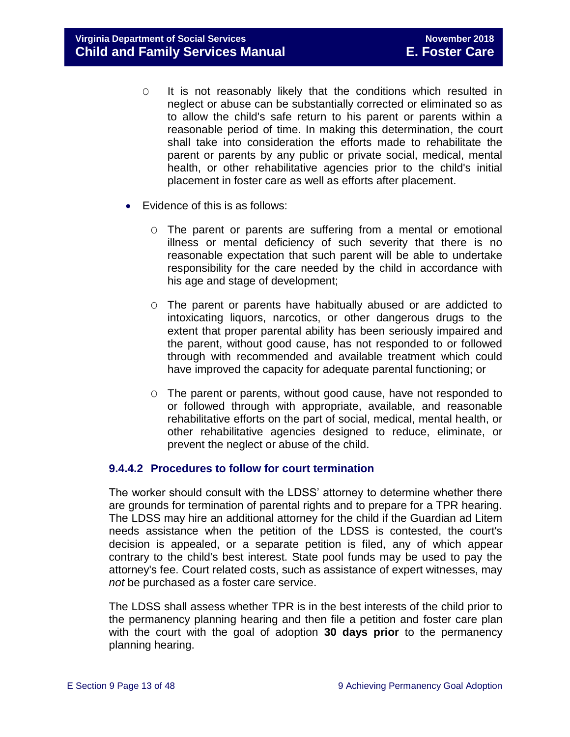**Virginia Department of Social Services November 2018 Child and Family Services Manual E. Foster Care**

- O It is not reasonably likely that the conditions which resulted in neglect or abuse can be substantially corrected or eliminated so as to allow the child's safe return to his parent or parents within a reasonable period of time. In making this determination, the court shall take into consideration the efforts made to rehabilitate the parent or parents by any public or private social, medical, mental health, or other rehabilitative agencies prior to the child's initial placement in foster care as well as efforts after placement.
- Evidence of this is as follows:
	- O The parent or parents are suffering from a mental or emotional illness or mental deficiency of such severity that there is no reasonable expectation that such parent will be able to undertake responsibility for the care needed by the child in accordance with his age and stage of development;
	- O The parent or parents have habitually abused or are addicted to intoxicating liquors, narcotics, or other dangerous drugs to the extent that proper parental ability has been seriously impaired and the parent, without good cause, has not responded to or followed through with recommended and available treatment which could have improved the capacity for adequate parental functioning; or
	- O The parent or parents, without good cause, have not responded to or followed through with appropriate, available, and reasonable rehabilitative efforts on the part of social, medical, mental health, or other rehabilitative agencies designed to reduce, eliminate, or prevent the neglect or abuse of the child.

# **9.4.4.2 Procedures to follow for court termination**

The worker should consult with the LDSS' attorney to determine whether there are grounds for termination of parental rights and to prepare for a TPR hearing. The LDSS may hire an additional attorney for the child if the Guardian ad Litem needs assistance when the petition of the LDSS is contested, the court's decision is appealed, or a separate petition is filed, any of which appear contrary to the child's best interest. State pool funds may be used to pay the attorney's fee. Court related costs, such as assistance of expert witnesses, may *not* be purchased as a foster care service.

The LDSS shall assess whether TPR is in the best interests of the child prior to the permanency planning hearing and then file a petition and foster care plan with the court with the goal of adoption **30 days prior** to the permanency planning hearing.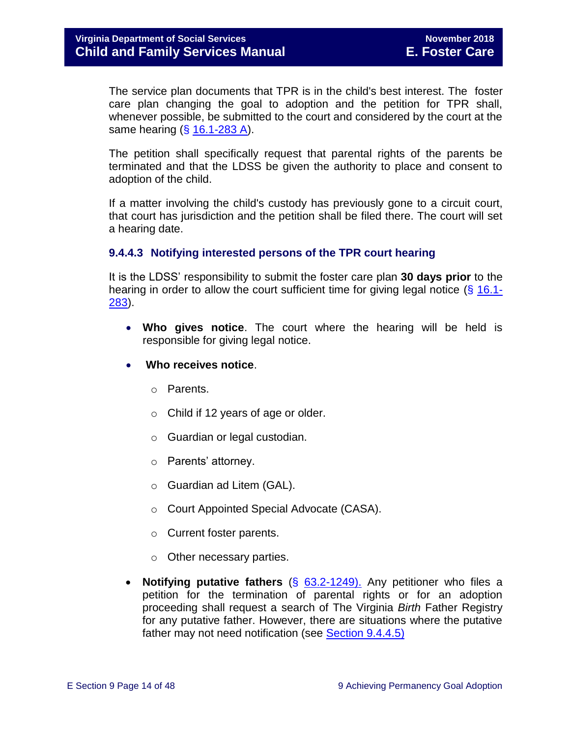The service plan documents that TPR is in the child's best interest. The foster care plan changing the goal to adoption and the petition for TPR shall, whenever possible, be submitted to the court and considered by the court at the same hearing  $(\S 16.1 - 283 A)$ .

The petition shall specifically request that parental rights of the parents be terminated and that the LDSS be given the authority to place and consent to adoption of the child.

If a matter involving the child's custody has previously gone to a circuit court, that court has jurisdiction and the petition shall be filed there. The court will set a hearing date.

# **9.4.4.3 Notifying interested persons of the TPR court hearing**

It is the LDSS' responsibility to submit the foster care plan **30 days prior** to the hearing in order to allow the court sufficient time for giving legal notice (§ [16.1-](http://law.lis.virginia.gov/vacode/16.1-283/) [283\)](http://law.lis.virginia.gov/vacode/16.1-283/).

- **Who gives notice**. The court where the hearing will be held is responsible for giving legal notice.
- **Who receives notice**.
	- o Parents.
	- o Child if 12 years of age or older.
	- o Guardian or legal custodian.
	- o Parents' attorney.
	- o Guardian ad Litem (GAL).
	- o Court Appointed Special Advocate (CASA).
	- o Current foster parents.
	- o Other necessary parties.
- **Notifying putative fathers** (§ [63.2-1249\).](http://law.lis.virginia.gov/vacode/63.2-1249/) Any petitioner who files a petition for the termination of parental rights or for an adoption proceeding shall request a search of The Virginia *Birth* Father Registry for any putative father. However, there are situations where the putative father may not need notification (see [Section 9.4.4.5\)](#page-14-0)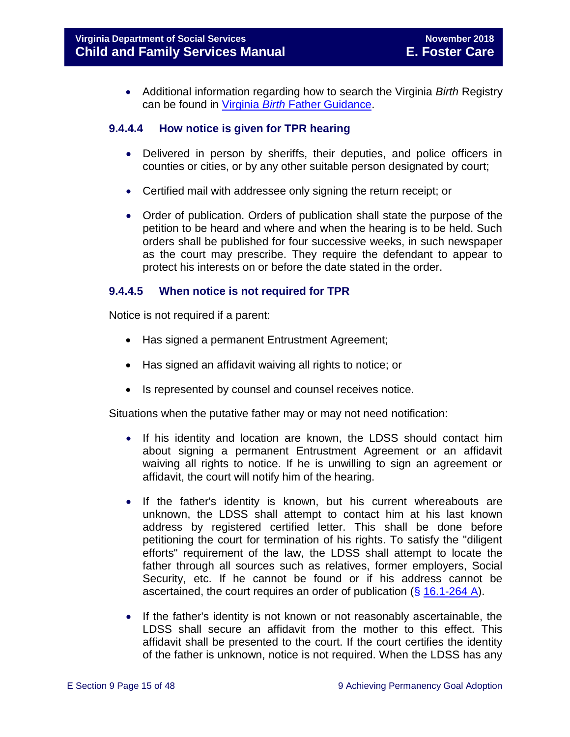Additional information regarding how to search the Virginia *Birth* Registry can be found in Virginia *Birth* [Father Guidance.](http://www.dss.virginia.gov/family/ap/vbfr.cgi)

### **9.4.4.4 How notice is given for TPR hearing**

- Delivered in person by sheriffs, their deputies, and police officers in counties or cities, or by any other suitable person designated by court;
- Certified mail with addressee only signing the return receipt; or
- Order of publication. Orders of publication shall state the purpose of the petition to be heard and where and when the hearing is to be held. Such orders shall be published for four successive weeks, in such newspaper as the court may prescribe. They require the defendant to appear to protect his interests on or before the date stated in the order.

### <span id="page-14-0"></span>**9.4.4.5 When notice is not required for TPR**

Notice is not required if a parent:

- Has signed a permanent Entrustment Agreement;
- Has signed an affidavit waiving all rights to notice; or
- Is represented by counsel and counsel receives notice.

Situations when the putative father may or may not need notification:

- If his identity and location are known, the LDSS should contact him about signing a permanent Entrustment Agreement or an affidavit waiving all rights to notice. If he is unwilling to sign an agreement or affidavit, the court will notify him of the hearing.
- If the father's identity is known, but his current whereabouts are unknown, the LDSS shall attempt to contact him at his last known address by registered certified letter. This shall be done before petitioning the court for termination of his rights. To satisfy the "diligent efforts" requirement of the law, the LDSS shall attempt to locate the father through all sources such as relatives, former employers, Social Security, etc. If he cannot be found or if his address cannot be ascertained, the court requires an order of publication (§ [16.1-264 A\)](http://law.lis.virginia.gov/vacode/16.1-264/).
- If the father's identity is not known or not reasonably ascertainable, the LDSS shall secure an affidavit from the mother to this effect. This affidavit shall be presented to the court. If the court certifies the identity of the father is unknown, notice is not required. When the LDSS has any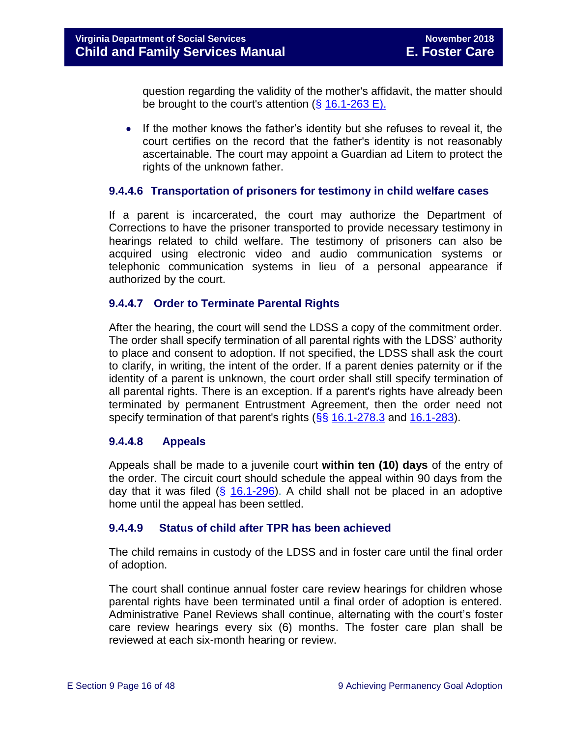question regarding the validity of the mother's affidavit, the matter should be brought to the court's attention  $(\S 16.1-263 \E)$ .

• If the mother knows the father's identity but she refuses to reveal it, the court certifies on the record that the father's identity is not reasonably ascertainable. The court may appoint a Guardian ad Litem to protect the rights of the unknown father.

### **9.4.4.6 Transportation of prisoners for testimony in child welfare cases**

If a parent is incarcerated, the court may authorize the Department of Corrections to have the prisoner transported to provide necessary testimony in hearings related to child welfare. The testimony of prisoners can also be acquired using electronic video and audio communication systems or telephonic communication systems in lieu of a personal appearance if authorized by the court.

### **9.4.4.7 Order to Terminate Parental Rights**

After the hearing, the court will send the LDSS a copy of the commitment order. The order shall specify termination of all parental rights with the LDSS' authority to place and consent to adoption. If not specified, the LDSS shall ask the court to clarify, in writing, the intent of the order. If a parent denies paternity or if the identity of a parent is unknown, the court order shall still specify termination of all parental rights. There is an exception. If a parent's rights have already been terminated by permanent Entrustment Agreement, then the order need not specify termination of that parent's rights (§§ [16.1-278.3](http://law.lis.virginia.gov/vacode/16.1-278.3/) and [16.1-283\)](http://law.lis.virginia.gov/vacode/16.1-283/).

# **9.4.4.8 Appeals**

Appeals shall be made to a juvenile court **within ten (10) days** of the entry of the order. The circuit court should schedule the appeal within 90 days from the day that it was filed  $(\frac{25}{16.1-296})$ . A child shall not be placed in an adoptive home until the appeal has been settled.

#### **9.4.4.9 Status of child after TPR has been achieved**

The child remains in custody of the LDSS and in foster care until the final order of adoption.

The court shall continue annual foster care review hearings for children whose parental rights have been terminated until a final order of adoption is entered. Administrative Panel Reviews shall continue, alternating with the court's foster care review hearings every six (6) months. The foster care plan shall be reviewed at each six-month hearing or review.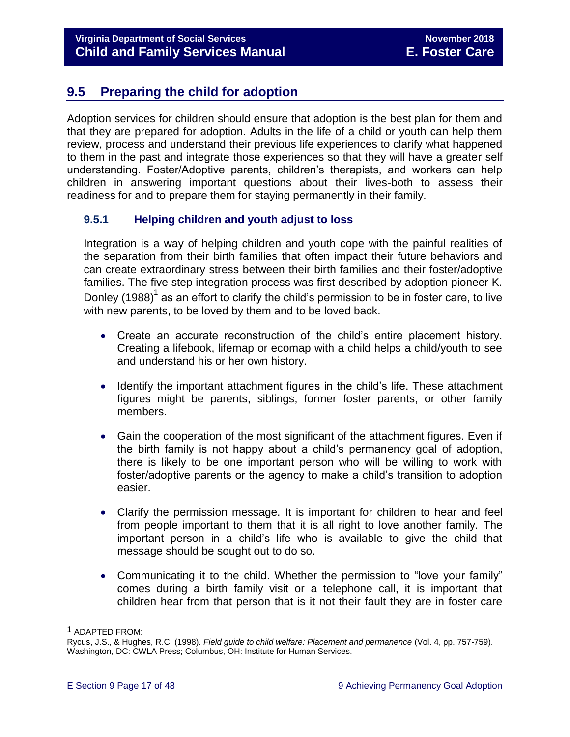# <span id="page-16-0"></span>**9.5 Preparing the child for adoption**

Adoption services for children should ensure that adoption is the best plan for them and that they are prepared for adoption. Adults in the life of a child or youth can help them review, process and understand their previous life experiences to clarify what happened to them in the past and integrate those experiences so that they will have a greater self understanding. Foster/Adoptive parents, children's therapists, and workers can help children in answering important questions about their lives-both to assess their readiness for and to prepare them for staying permanently in their family.

# <span id="page-16-1"></span>**9.5.1 Helping children and youth adjust to loss**

Integration is a way of helping children and youth cope with the painful realities of the separation from their birth families that often impact their future behaviors and can create extraordinary stress between their birth families and their foster/adoptive families. The five step integration process was first described by adoption pioneer K. Donley (1988) $^{\rm 1}$  as an effort to clarify the child's permission to be in foster care, to live with new parents, to be loved by them and to be loved back.

- Create an accurate reconstruction of the child's entire placement history. Creating a lifebook, lifemap or ecomap with a child helps a child/youth to see and understand his or her own history.
- Identify the important attachment figures in the child's life. These attachment figures might be parents, siblings, former foster parents, or other family members.
- Gain the cooperation of the most significant of the attachment figures. Even if the birth family is not happy about a child's permanency goal of adoption, there is likely to be one important person who will be willing to work with foster/adoptive parents or the agency to make a child's transition to adoption easier.
- Clarify the permission message. It is important for children to hear and feel from people important to them that it is all right to love another family. The important person in a child's life who is available to give the child that message should be sought out to do so.
- Communicating it to the child. Whether the permission to "love your family" comes during a birth family visit or a telephone call, it is important that children hear from that person that is it not their fault they are in foster care

L,

<sup>1</sup> ADAPTED FROM:

Rycus, J.S., & Hughes, R.C. (1998). *Field guide to child welfare: Placement and permanence* (Vol. 4, pp. 757-759). Washington, DC: CWLA Press; Columbus, OH: Institute for Human Services.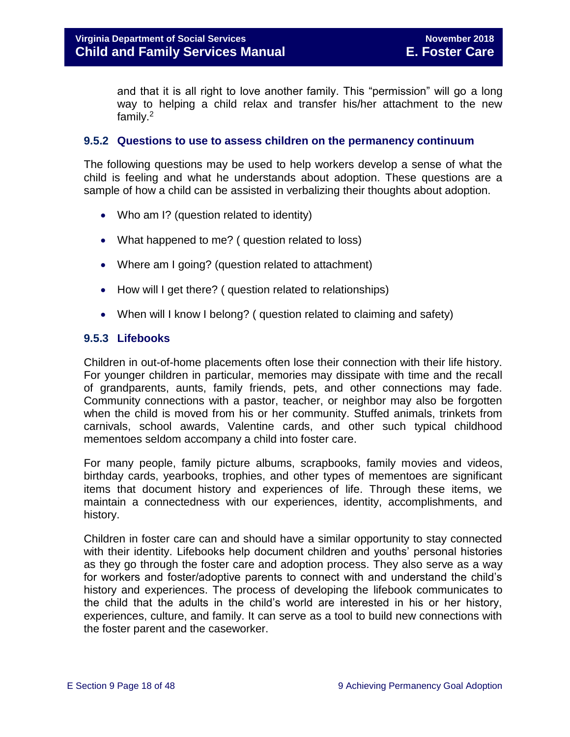and that it is all right to love another family. This "permission" will go a long way to helping a child relax and transfer his/her attachment to the new family.<sup>2</sup>

### <span id="page-17-0"></span>**9.5.2 Questions to use to assess children on the permanency continuum**

The following questions may be used to help workers develop a sense of what the child is feeling and what he understands about adoption. These questions are a sample of how a child can be assisted in verbalizing their thoughts about adoption.

- Who am I? (question related to identity)
- What happened to me? ( question related to loss)
- Where am I going? (question related to attachment)
- How will I get there? ( question related to relationships)
- When will I know I belong? ( question related to claiming and safety)

# <span id="page-17-1"></span>**9.5.3 Lifebooks**

Children in out-of-home placements often lose their connection with their life history. For younger children in particular, memories may dissipate with time and the recall of grandparents, aunts, family friends, pets, and other connections may fade. Community connections with a pastor, teacher, or neighbor may also be forgotten when the child is moved from his or her community. Stuffed animals, trinkets from carnivals, school awards, Valentine cards, and other such typical childhood mementoes seldom accompany a child into foster care.

For many people, family picture albums, scrapbooks, family movies and videos, birthday cards, yearbooks, trophies, and other types of mementoes are significant items that document history and experiences of life. Through these items, we maintain a connectedness with our experiences, identity, accomplishments, and history.

Children in foster care can and should have a similar opportunity to stay connected with their identity. Lifebooks help document children and youths' personal histories as they go through the foster care and adoption process. They also serve as a way for workers and foster/adoptive parents to connect with and understand the child's history and experiences. The process of developing the lifebook communicates to the child that the adults in the child's world are interested in his or her history, experiences, culture, and family. It can serve as a tool to build new connections with the foster parent and the caseworker.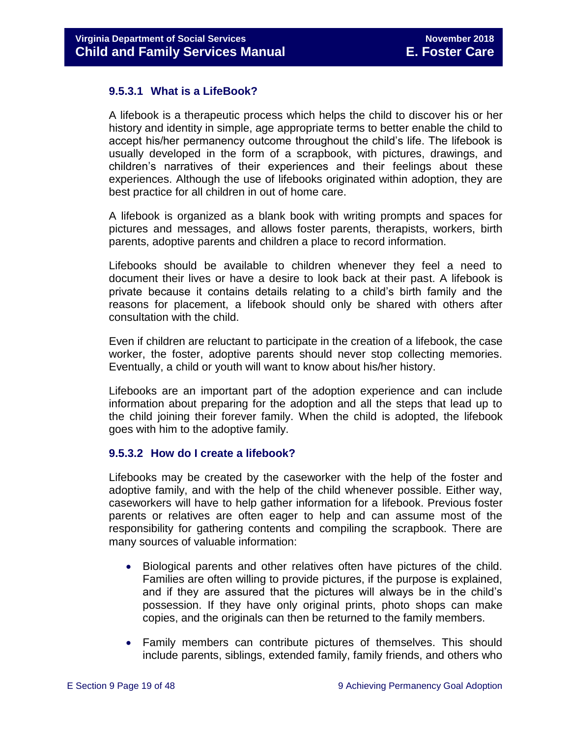### **9.5.3.1 What is a LifeBook?**

A lifebook is a therapeutic process which helps the child to discover his or her history and identity in simple, age appropriate terms to better enable the child to accept his/her permanency outcome throughout the child's life. The lifebook is usually developed in the form of a scrapbook, with pictures, drawings, and children's narratives of their experiences and their feelings about these experiences. Although the use of lifebooks originated within adoption, they are best practice for all children in out of home care.

A lifebook is organized as a blank book with writing prompts and spaces for pictures and messages, and allows foster parents, therapists, workers, birth parents, adoptive parents and children a place to record information.

Lifebooks should be available to children whenever they feel a need to document their lives or have a desire to look back at their past. A lifebook is private because it contains details relating to a child's birth family and the reasons for placement, a lifebook should only be shared with others after consultation with the child.

Even if children are reluctant to participate in the creation of a lifebook, the case worker, the foster, adoptive parents should never stop collecting memories. Eventually, a child or youth will want to know about his/her history.

Lifebooks are an important part of the adoption experience and can include information about preparing for the adoption and all the steps that lead up to the child joining their forever family. When the child is adopted, the lifebook goes with him to the adoptive family.

#### **9.5.3.2 How do I create a lifebook?**

Lifebooks may be created by the caseworker with the help of the foster and adoptive family, and with the help of the child whenever possible. Either way, caseworkers will have to help gather information for a lifebook. Previous foster parents or relatives are often eager to help and can assume most of the responsibility for gathering contents and compiling the scrapbook. There are many sources of valuable information:

- Biological parents and other relatives often have pictures of the child. Families are often willing to provide pictures, if the purpose is explained, and if they are assured that the pictures will always be in the child's possession. If they have only original prints, photo shops can make copies, and the originals can then be returned to the family members.
- Family members can contribute pictures of themselves. This should include parents, siblings, extended family, family friends, and others who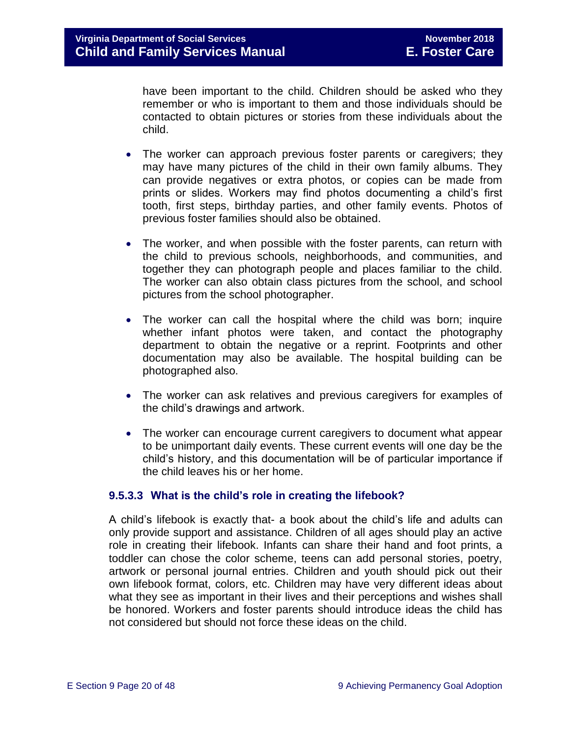have been important to the child. Children should be asked who they remember or who is important to them and those individuals should be contacted to obtain pictures or stories from these individuals about the child.

- The worker can approach previous foster parents or caregivers; they may have many pictures of the child in their own family albums. They can provide negatives or extra photos, or copies can be made from prints or slides. Workers may find photos documenting a child's first tooth, first steps, birthday parties, and other family events. Photos of previous foster families should also be obtained.
- The worker, and when possible with the foster parents, can return with the child to previous schools, neighborhoods, and communities, and together they can photograph people and places familiar to the child. The worker can also obtain class pictures from the school, and school pictures from the school photographer.
- The worker can call the hospital where the child was born; inquire whether infant photos were taken, and contact the photography department to obtain the negative or a reprint. Footprints and other documentation may also be available. The hospital building can be photographed also.
- The worker can ask relatives and previous caregivers for examples of the child's drawings and artwork.
- The worker can encourage current caregivers to document what appear to be unimportant daily events. These current events will one day be the child's history, and this documentation will be of particular importance if the child leaves his or her home.

# **9.5.3.3 What is the child's role in creating the lifebook?**

A child's lifebook is exactly that- a book about the child's life and adults can only provide support and assistance. Children of all ages should play an active role in creating their lifebook. Infants can share their hand and foot prints, a toddler can chose the color scheme, teens can add personal stories, poetry, artwork or personal journal entries. Children and youth should pick out their own lifebook format, colors, etc. Children may have very different ideas about what they see as important in their lives and their perceptions and wishes shall be honored. Workers and foster parents should introduce ideas the child has not considered but should not force these ideas on the child.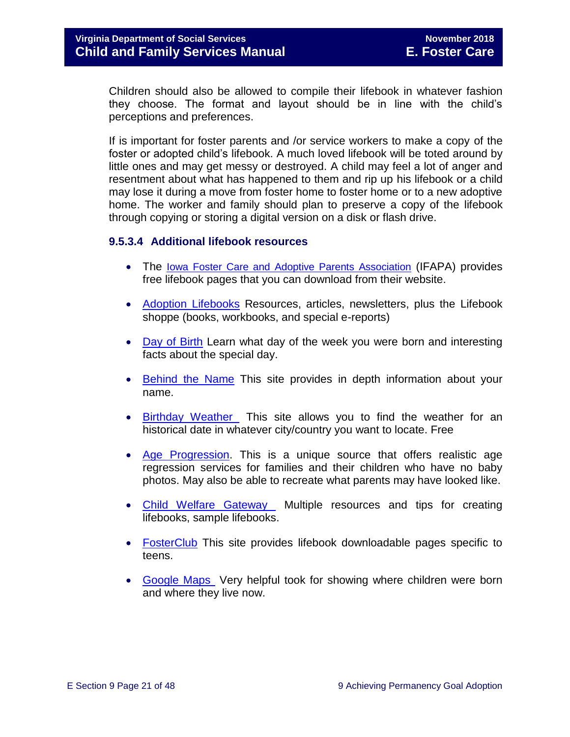Children should also be allowed to compile their lifebook in whatever fashion they choose. The format and layout should be in line with the child's perceptions and preferences.

If is important for foster parents and /or service workers to make a copy of the foster or adopted child's lifebook. A much loved lifebook will be toted around by little ones and may get messy or destroyed. A child may feel a lot of anger and resentment about what has happened to them and rip up his lifebook or a child may lose it during a move from foster home to foster home or to a new adoptive home. The worker and family should plan to preserve a copy of the lifebook through copying or storing a digital version on a disk or flash drive.

# **9.5.3.4 Additional lifebook resources**

- The [Iowa Foster Care and Adoptive Parents Association](http://www.ifapa.org/publications/IFAPA_Lifebook_Pages.asp) (IFAPA) provides free lifebook pages that you can download from their website.
- [Adoption Lifebooks](http://adoptionlifebooks.com/) Resources, articles, newsletters, plus the Lifebook shoppe (books, workbooks, and special e-reports)
- [Day of Birth](http://www.dayofbirth.co.uk/) Learn what day of the week you were born and interesting facts about the special day.
- [Behind the Name](http://www.behindthename.com/) This site provides in depth information about your name.
- [Birthday Weather](http://www.wunderground.com/) This site allows you to find the weather for an historical date in whatever city/country you want to locate. Free
- [Age Progression.](http://www.phojoe.com/forensic_compositing.html) This is a unique source that offers realistic age regression services for families and their children who have no baby photos. May also be able to recreate what parents may have looked like.
- [Child Welfare Gateway](https://www.childwelfare.gov/adoption/adopt_parenting/lifebooks.cfm) Multiple resources and tips for creating lifebooks, sample lifebooks.
- [FosterClub](http://www.fosterclub.com/) This site provides lifebook downloadable pages specific to teens.
- [Google Maps](http://maps.google.com/) Very helpful took for showing where children were born and where they live now.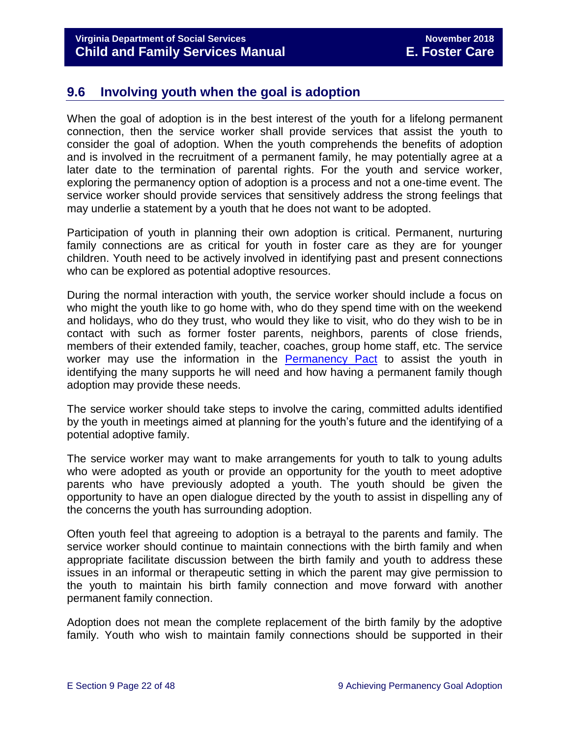# <span id="page-21-0"></span>**9.6 Involving youth when the goal is adoption**

When the goal of adoption is in the best interest of the youth for a lifelong permanent connection, then the service worker shall provide services that assist the youth to consider the goal of adoption. When the youth comprehends the benefits of adoption and is involved in the recruitment of a permanent family, he may potentially agree at a later date to the termination of parental rights. For the youth and service worker, exploring the permanency option of adoption is a process and not a one-time event. The service worker should provide services that sensitively address the strong feelings that may underlie a statement by a youth that he does not want to be adopted.

Participation of youth in planning their own adoption is critical. Permanent, nurturing family connections are as critical for youth in foster care as they are for younger children. Youth need to be actively involved in identifying past and present connections who can be explored as potential adoptive resources.

During the normal interaction with youth, the service worker should include a focus on who might the youth like to go home with, who do they spend time with on the weekend and holidays, who do they trust, who would they like to visit, who do they wish to be in contact with such as former foster parents, neighbors, parents of close friends, members of their extended family, teacher, coaches, group home staff, etc. The service worker may use the information in the [Permanency Pact](http://www.fosterclub.com/_transition/article/permanency-pact) to assist the youth in identifying the many supports he will need and how having a permanent family though adoption may provide these needs.

The service worker should take steps to involve the caring, committed adults identified by the youth in meetings aimed at planning for the youth's future and the identifying of a potential adoptive family.

The service worker may want to make arrangements for youth to talk to young adults who were adopted as youth or provide an opportunity for the youth to meet adoptive parents who have previously adopted a youth. The youth should be given the opportunity to have an open dialogue directed by the youth to assist in dispelling any of the concerns the youth has surrounding adoption.

Often youth feel that agreeing to adoption is a betrayal to the parents and family. The service worker should continue to maintain connections with the birth family and when appropriate facilitate discussion between the birth family and youth to address these issues in an informal or therapeutic setting in which the parent may give permission to the youth to maintain his birth family connection and move forward with another permanent family connection.

Adoption does not mean the complete replacement of the birth family by the adoptive family. Youth who wish to maintain family connections should be supported in their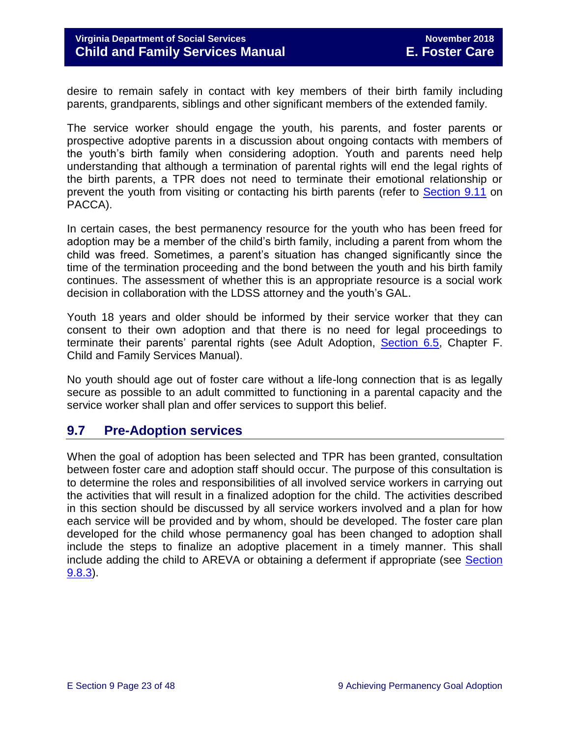desire to remain safely in contact with key members of their birth family including parents, grandparents, siblings and other significant members of the extended family.

The service worker should engage the youth, his parents, and foster parents or prospective adoptive parents in a discussion about ongoing contacts with members of the youth's birth family when considering adoption. Youth and parents need help understanding that although a termination of parental rights will end the legal rights of the birth parents, a TPR does not need to terminate their emotional relationship or prevent the youth from visiting or contacting his birth parents (refer to [Section 9.11](#page-38-0) on PACCA).

In certain cases, the best permanency resource for the youth who has been freed for adoption may be a member of the child's birth family, including a parent from whom the child was freed. Sometimes, a parent's situation has changed significantly since the time of the termination proceeding and the bond between the youth and his birth family continues. The assessment of whether this is an appropriate resource is a social work decision in collaboration with the LDSS attorney and the youth's GAL.

Youth 18 years and older should be informed by their service worker that they can consent to their own adoption and that there is no need for legal proceedings to terminate their parents' parental rights (see Adult Adoption, [Section 6.5,](http://www.dss.virginia.gov/family/ap/index.cgi) Chapter F. Child and Family Services Manual).

No youth should age out of foster care without a life-long connection that is as legally secure as possible to an adult committed to functioning in a parental capacity and the service worker shall plan and offer services to support this belief.

# <span id="page-22-0"></span>**9.7 Pre-Adoption services**

When the goal of adoption has been selected and TPR has been granted, consultation between foster care and adoption staff should occur. The purpose of this consultation is to determine the roles and responsibilities of all involved service workers in carrying out the activities that will result in a finalized adoption for the child. The activities described in this section should be discussed by all service workers involved and a plan for how each service will be provided and by whom, should be developed. The foster care plan developed for the child whose permanency goal has been changed to adoption shall include the steps to finalize an adoptive placement in a timely manner. This shall include adding the child to AREVA or obtaining a deferment if appropriate (see [Section](#page-27-0)  [9.8.3\)](#page-27-0).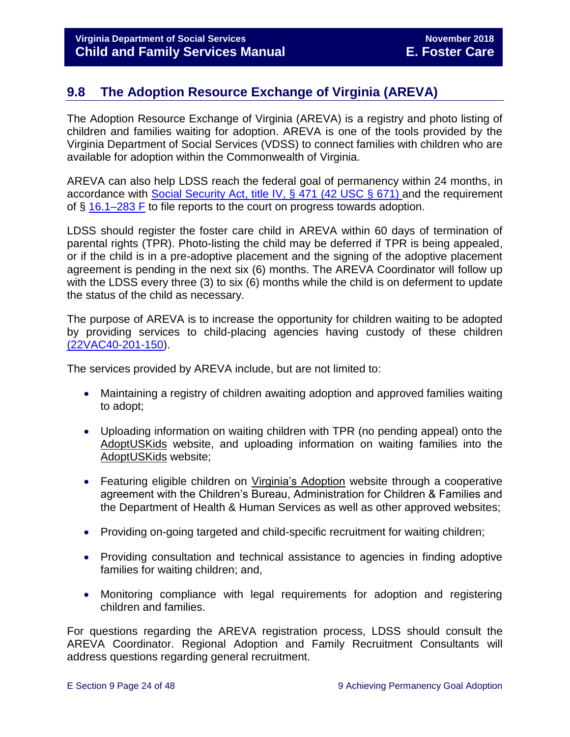# <span id="page-23-0"></span>**9.8 The Adoption Resource Exchange of Virginia (AREVA)**

The Adoption Resource Exchange of Virginia (AREVA) is a registry and photo listing of children and families waiting for adoption. AREVA is one of the tools provided by the Virginia Department of Social Services (VDSS) to connect families with children who are available for adoption within the Commonwealth of Virginia.

AREVA can also help LDSS reach the federal goal of permanency within 24 months, in accordance with [Social Security Act, title IV,](https://www.ssa.gov/OP_Home/ssact/title04/0471.htm) § 471 (42 USC § 671) and the requirement of § [16.1–283 F](http://law.lis.virginia.gov/vacode/16.1-283/) to file reports to the court on progress towards adoption.

LDSS should register the foster care child in AREVA within 60 days of termination of parental rights (TPR). Photo-listing the child may be deferred if TPR is being appealed, or if the child is in a pre-adoptive placement and the signing of the adoptive placement agreement is pending in the next six (6) months. The AREVA Coordinator will follow up with the LDSS every three (3) to six (6) months while the child is on deferment to update the status of the child as necessary.

The purpose of AREVA is to increase the opportunity for children waiting to be adopted by providing services to child-placing agencies having custody of these children [\(22VAC40-201-150\)](http://law.lis.virginia.gov/admincode/title22/agency40/chapter201/section150).

The services provided by AREVA include, but are not limited to:

- Maintaining a registry of children awaiting adoption and approved families waiting to adopt;
- Uploading information on waiting children with TPR (no pending appeal) onto the [AdoptUSKids](http://www.adoptuskids.org/) website, and uploading information on waiting families into the [AdoptUSKids](http://www.adoptuskids.org/) website;
- Featuring eligible children on [Virginia's Adoption](http://www.adoptuskids.org/states/va/index.aspx) website through a cooperative agreement with the Children's Bureau, Administration for Children & Families and the Department of Health & Human Services as well as other approved websites;
- Providing on-going targeted and child-specific recruitment for waiting children;
- Providing consultation and technical assistance to agencies in finding adoptive families for waiting children; and,
- Monitoring compliance with legal requirements for adoption and registering children and families.

For questions regarding the AREVA registration process, LDSS should consult the AREVA Coordinator. Regional Adoption and Family Recruitment Consultants will address questions regarding general recruitment.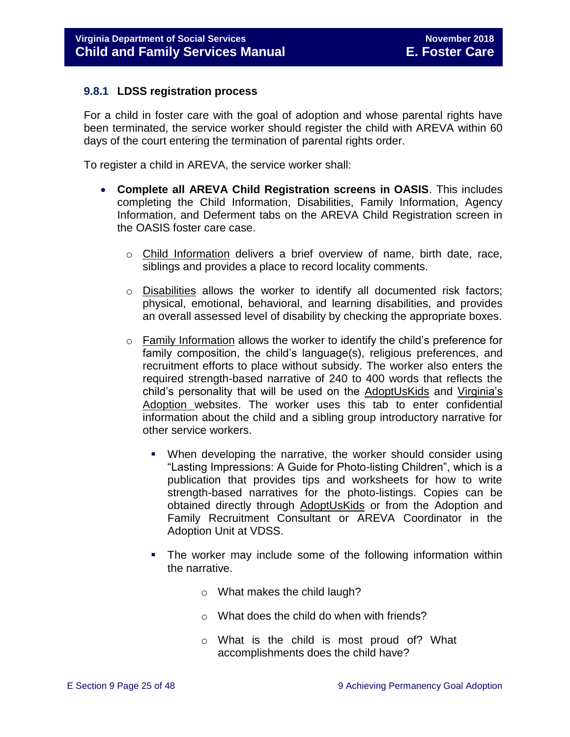### <span id="page-24-0"></span>**9.8.1 LDSS registration process**

For a child in foster care with the goal of adoption and whose parental rights have been terminated, the service worker should register the child with AREVA within 60 days of the court entering the termination of parental rights order.

To register a child in AREVA, the service worker shall:

- **Complete all AREVA Child Registration screens in OASIS**. This includes completing the Child Information, Disabilities, Family Information, Agency Information, and Deferment tabs on the AREVA Child Registration screen in the OASIS foster care case.
	- o Child Information delivers a brief overview of name, birth date, race, siblings and provides a place to record locality comments.
	- $\circ$  Disabilities allows the worker to identify all documented risk factors; physical, emotional, behavioral, and learning disabilities, and provides an overall assessed level of disability by checking the appropriate boxes.
	- $\circ$  Family Information allows the worker to identify the child's preference for family composition, the child's language(s), religious preferences, and recruitment efforts to place without subsidy. The worker also enters the required strength-based narrative of 240 to 400 words that reflects the child's personality that will be used on the [AdoptUsKids](http://www.adoptuskids.org/) and [Virginia's](http://www.adoptuskids.org/states/va/index.aspx)  [Adoption](http://www.adoptuskids.org/states/va/index.aspx) websites. The worker uses this tab to enter confidential information about the child and a sibling group introductory narrative for other service workers.
		- When developing the narrative, the worker should consider using "Lasting Impressions: A Guide for Photo-listing Children", which is a publication that provides tips and worksheets for how to write strength-based narratives for the photo-listings. Copies can be obtained directly through [AdoptUsKids](http://www.adoptuskids.org/) or from the Adoption and Family Recruitment Consultant or AREVA Coordinator in the Adoption Unit at VDSS.
		- The worker may include some of the following information within the narrative.
			- o What makes the child laugh?
			- o What does the child do when with friends?
			- o What is the child is most proud of? What accomplishments does the child have?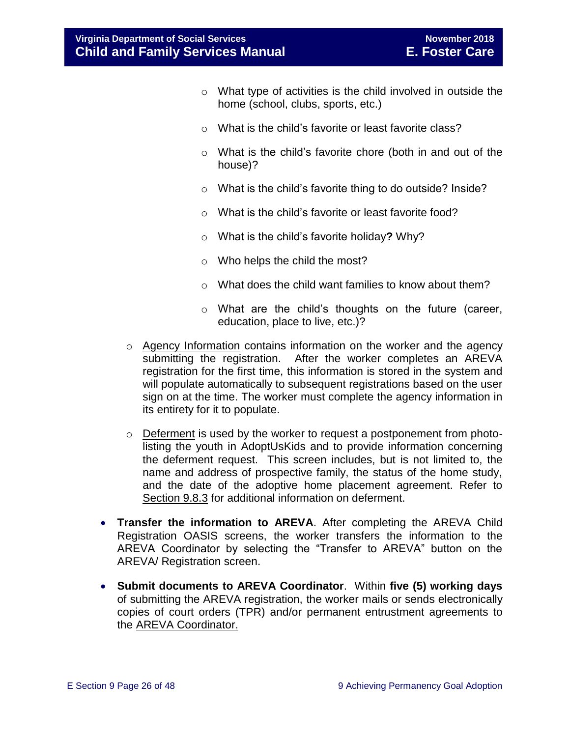- o What type of activities is the child involved in outside the home (school, clubs, sports, etc.)
- o What is the child's favorite or least favorite class?
- o What is the child's favorite chore (both in and out of the house)?
- o What is the child's favorite thing to do outside? Inside?
- o What is the child's favorite or least favorite food?
- o What is the child's favorite holiday**?** Why?
- o Who helps the child the most?
- o What does the child want families to know about them?
- o What are the child's thoughts on the future (career, education, place to live, etc.)?
- $\circ$  Agency Information contains information on the worker and the agency submitting the registration. After the worker completes an AREVA registration for the first time, this information is stored in the system and will populate automatically to subsequent registrations based on the user sign on at the time. The worker must complete the agency information in its entirety for it to populate.
- $\circ$  Deferment is used by the worker to request a postponement from photolisting the youth in [AdoptUsKids](http://www.adoptuskids.org/) and to provide information concerning the deferment request. This screen includes, but is not limited to, the name and address of prospective family, the status of the home study, and the date of the adoptive home placement agreement. Refer to Section 9.8.3 for additional information on deferment.
- **Transfer the information to AREVA**. After completing the AREVA Child Registration OASIS screens, the worker transfers the information to the AREVA Coordinator by selecting the "Transfer to AREVA" button on the AREVA/ Registration screen.
- **Submit documents to AREVA Coordinator**. Within **five (5) working days** of submitting the AREVA registration, the worker mails or sends electronically copies of court orders (TPR) and/or permanent entrustment agreements to the AREVA Coordinator.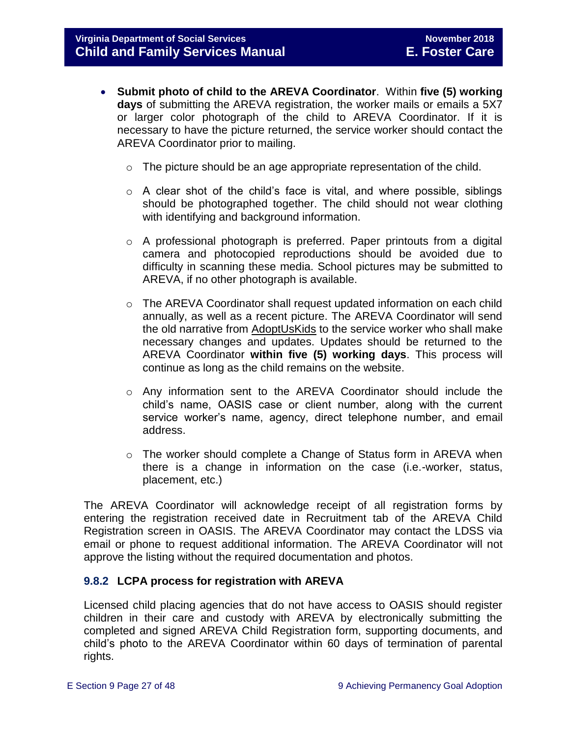- **Submit photo of child to the AREVA Coordinator**. Within **five (5) working days** of submitting the AREVA registration, the worker mails or emails a 5X7 or larger color photograph of the child to AREVA Coordinator. If it is necessary to have the picture returned, the service worker should contact the AREVA Coordinator prior to mailing.
	- $\circ$  The picture should be an age appropriate representation of the child.
	- o A clear shot of the child's face is vital, and where possible, siblings should be photographed together. The child should not wear clothing with identifying and background information.
	- o A professional photograph is preferred. Paper printouts from a digital camera and photocopied reproductions should be avoided due to difficulty in scanning these media. School pictures may be submitted to AREVA, if no other photograph is available.
	- $\circ$  The AREVA Coordinator shall request updated information on each child annually, as well as a recent picture. The AREVA Coordinator will send the old narrative from [AdoptUsKids](http://www.adoptuskids.org/) to the service worker who shall make necessary changes and updates. Updates should be returned to the AREVA Coordinator **within five (5) working days**. This process will continue as long as the child remains on the website.
	- o Any information sent to the AREVA Coordinator should include the child's name, OASIS case or client number, along with the current service worker's name, agency, direct telephone number, and email address.
	- $\circ$  The worker should complete a Change of Status form in AREVA when there is a change in information on the case (i.e.-worker, status, placement, etc.)

The AREVA Coordinator will acknowledge receipt of all registration forms by entering the registration received date in Recruitment tab of the AREVA Child Registration screen in OASIS. The AREVA Coordinator may contact the LDSS via email or phone to request additional information. The AREVA Coordinator will not approve the listing without the required documentation and photos.

# <span id="page-26-0"></span>**9.8.2 LCPA process for registration with AREVA**

Licensed child placing agencies that do not have access to OASIS should register children in their care and custody with AREVA by electronically submitting the completed and signed AREVA Child Registration form, supporting documents, and child's photo to the AREVA Coordinator within 60 days of termination of parental rights.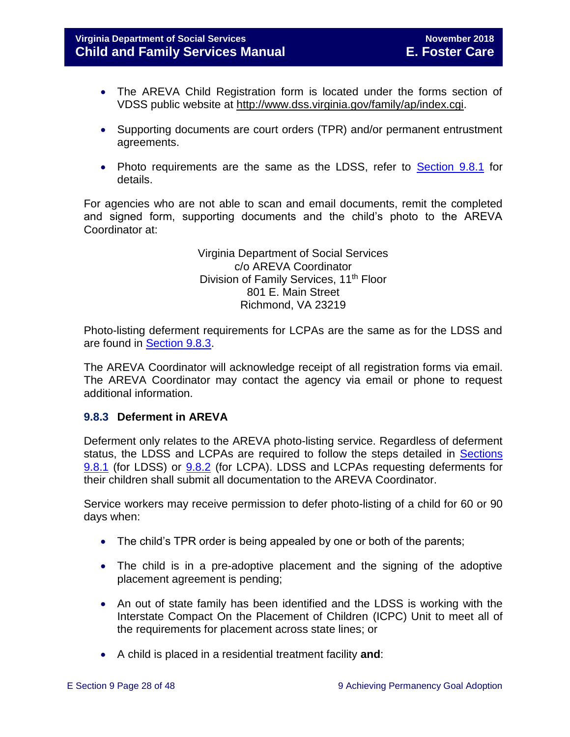- The AREVA Child Registration form is located under the forms section of VDSS public website at [http://www.dss.virginia.gov/family/ap/index.cgi.](http://www.dss.virginia.gov/family/ap/index.cgi)
- Supporting documents are court orders (TPR) and/or permanent entrustment agreements.
- Photo requirements are the same as the LDSS, refer to **Section 9.8.1** for details.

For agencies who are not able to scan and email documents, remit the completed and signed form, supporting documents and the child's photo to the AREVA Coordinator at:

> Virginia Department of Social Services c/o AREVA Coordinator Division of Family Services, 11<sup>th</sup> Floor 801 E. Main Street Richmond, VA 23219

Photo-listing deferment requirements for LCPAs are the same as for the LDSS and are found in [Section 9.8.3.](#page-27-0)

The AREVA Coordinator will acknowledge receipt of all registration forms via email. The AREVA Coordinator may contact the agency via email or phone to request additional information.

# <span id="page-27-0"></span>**9.8.3 Deferment in AREVA**

Deferment only relates to the AREVA photo-listing service. Regardless of deferment status, the LDSS and LCPAs are required to follow the steps detailed in [Sections](#page-24-0) [9.8.1](#page-24-0) (for LDSS) or [9.8.2](#page-26-0) (for LCPA). LDSS and LCPAs requesting deferments for their children shall submit all documentation to the AREVA Coordinator.

Service workers may receive permission to defer photo-listing of a child for 60 or 90 days when:

- The child's TPR order is being appealed by one or both of the parents;
- The child is in a pre-adoptive placement and the signing of the adoptive placement agreement is pending;
- An out of state family has been identified and the LDSS is working with the Interstate Compact On the Placement of Children (ICPC) Unit to meet all of the requirements for placement across state lines; or
- A child is placed in a residential treatment facility **and**: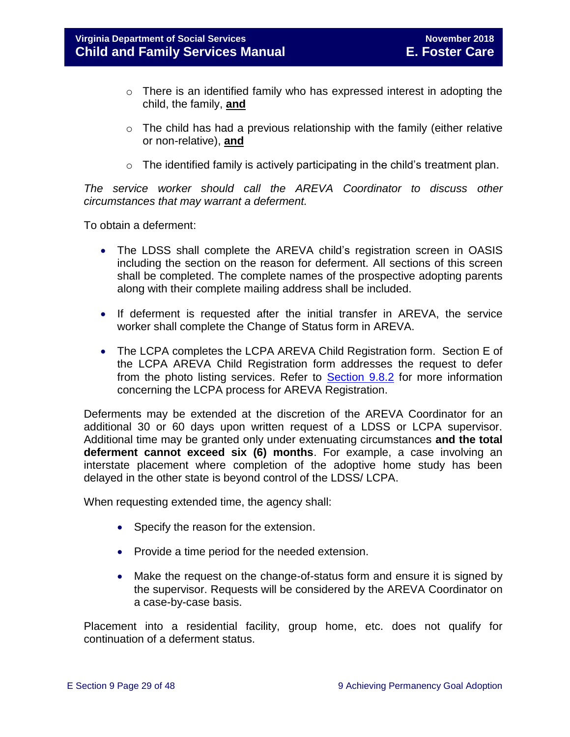- o There is an identified family who has expressed interest in adopting the child, the family, **and**
- o The child has had a previous relationship with the family (either relative or non-relative), **and**
- o The identified family is actively participating in the child's treatment plan.

*The service worker should call the AREVA Coordinator to discuss other circumstances that may warrant a deferment.*

To obtain a deferment:

- The LDSS shall complete the AREVA child's registration screen in OASIS including the section on the reason for deferment. All sections of this screen shall be completed. The complete names of the prospective adopting parents along with their complete mailing address shall be included.
- If deferment is requested after the initial transfer in AREVA, the service worker shall complete the Change of Status form in AREVA.
- The LCPA completes the LCPA AREVA Child Registration form. Section E of the LCPA AREVA Child Registration form addresses the request to defer from the photo listing services. Refer to **Section 9.8.2** for more information concerning the LCPA process for AREVA Registration.

Deferments may be extended at the discretion of the AREVA Coordinator for an additional 30 or 60 days upon written request of a LDSS or LCPA supervisor. Additional time may be granted only under extenuating circumstances **and the total deferment cannot exceed six (6) months**. For example, a case involving an interstate placement where completion of the adoptive home study has been delayed in the other state is beyond control of the LDSS/ LCPA.

When requesting extended time, the agency shall:

- Specify the reason for the extension.
- Provide a time period for the needed extension.
- Make the request on the change-of-status form and ensure it is signed by the supervisor. Requests will be considered by the AREVA Coordinator on a case-by-case basis.

Placement into a residential facility, group home, etc. does not qualify for continuation of a deferment status.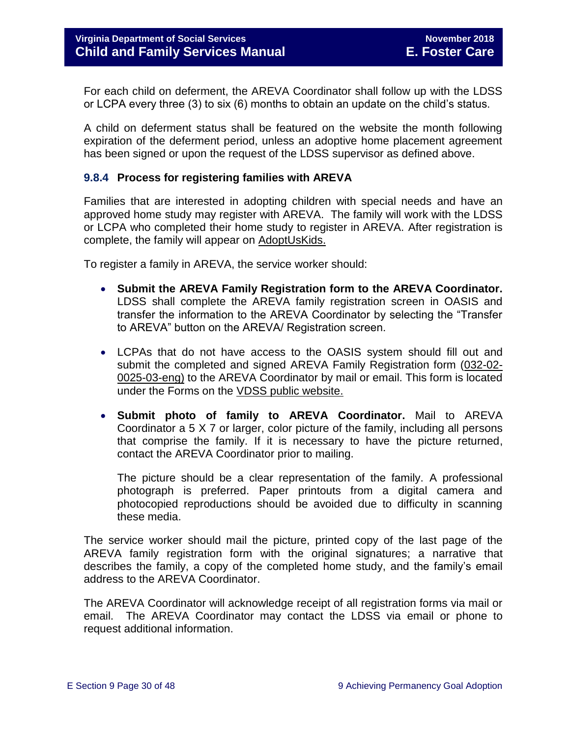For each child on deferment, the AREVA Coordinator shall follow up with the LDSS or LCPA every three (3) to six (6) months to obtain an update on the child's status.

A child on deferment status shall be featured on the website the month following expiration of the deferment period, unless an adoptive home placement agreement has been signed or upon the request of the LDSS supervisor as defined above.

### <span id="page-29-0"></span>**9.8.4 Process for registering families with AREVA**

Families that are interested in adopting children with special needs and have an approved home study may register with AREVA. The family will work with the LDSS or LCPA who completed their home study to register in AREVA. After registration is complete, the family will appear on [AdoptUsKids.](http://www.adoptuskids.org/)

To register a family in AREVA, the service worker should:

- **Submit the AREVA Family Registration form to the AREVA Coordinator.**  LDSS shall complete the AREVA family registration screen in OASIS and transfer the information to the AREVA Coordinator by selecting the "Transfer to AREVA" button on the AREVA/ Registration screen.
- LCPAs that do not have access to the OASIS system should fill out and submit the completed and signed AREVA Family Registration form [\(032-02-](http://www.dss.virginia.gov/files/division/dfs/ap/intro_page/forms/032-02-0025-03-eng.pdf) [0025-03-eng\)](http://www.dss.virginia.gov/files/division/dfs/ap/intro_page/forms/032-02-0025-03-eng.pdf) to the AREVA Coordinator by mail or email. This form is located under the Forms on the [VDSS public website.](http://www.dss.virginia.gov/family/ap/index.cgi)
- **Submit photo of family to AREVA Coordinator.** Mail to AREVA Coordinator a 5 X 7 or larger, color picture of the family, including all persons that comprise the family. If it is necessary to have the picture returned, contact the AREVA Coordinator prior to mailing.

The picture should be a clear representation of the family. A professional photograph is preferred. Paper printouts from a digital camera and photocopied reproductions should be avoided due to difficulty in scanning these media.

The service worker should mail the picture, printed copy of the last page of the AREVA family registration form with the original signatures; a narrative that describes the family, a copy of the completed home study, and the family's email address to the AREVA Coordinator.

The AREVA Coordinator will acknowledge receipt of all registration forms via mail or email. The AREVA Coordinator may contact the LDSS via email or phone to request additional information.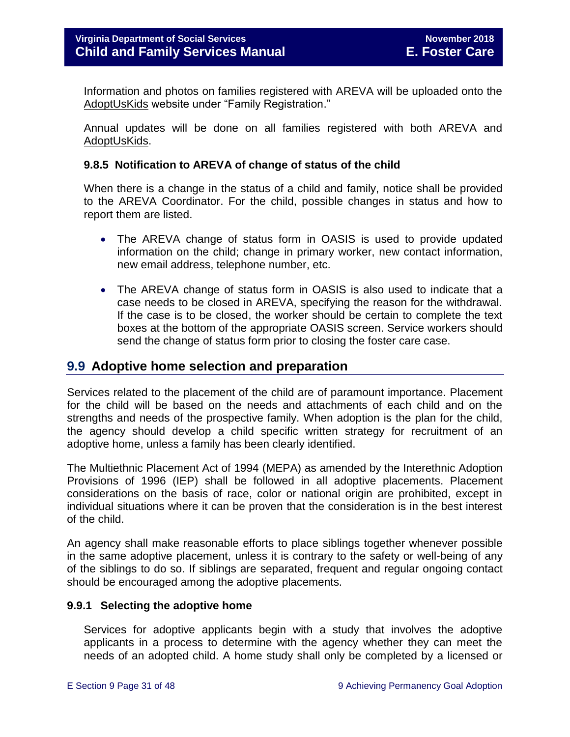Information and photos on families registered with AREVA will be uploaded onto the [AdoptUsKids](http://www.adoptuskids.org/) website under "Family Registration."

Annual updates will be done on all families registered with both AREVA and [AdoptUsKids.](http://www.adoptuskids.org/)

#### <span id="page-30-0"></span>**9.8.5 Notification to AREVA of change of status of the child**

When there is a change in the status of a child and family, notice shall be provided to the AREVA Coordinator. For the child, possible changes in status and how to report them are listed.

- The AREVA change of status form in OASIS is used to provide updated information on the child; change in primary worker, new contact information, new email address, telephone number, etc.
- The AREVA change of status form in OASIS is also used to indicate that a case needs to be closed in AREVA, specifying the reason for the withdrawal. If the case is to be closed, the worker should be certain to complete the text boxes at the bottom of the appropriate OASIS screen. Service workers should send the change of status form prior to closing the foster care case.

# <span id="page-30-1"></span>**9.9 Adoptive home selection and preparation**

Services related to the placement of the child are of paramount importance. Placement for the child will be based on the needs and attachments of each child and on the strengths and needs of the prospective family. When adoption is the plan for the child, the agency should develop a child specific written strategy for recruitment of an adoptive home, unless a family has been clearly identified.

The Multiethnic Placement Act of 1994 (MEPA) as amended by the Interethnic Adoption Provisions of 1996 (IEP) shall be followed in all adoptive placements. Placement considerations on the basis of race, color or national origin are prohibited, except in individual situations where it can be proven that the consideration is in the best interest of the child.

An agency shall make reasonable efforts to place siblings together whenever possible in the same adoptive placement, unless it is contrary to the safety or well-being of any of the siblings to do so. If siblings are separated, frequent and regular ongoing contact should be encouraged among the adoptive placements.

#### <span id="page-30-2"></span>**9.9.1 Selecting the adoptive home**

Services for adoptive applicants begin with a study that involves the adoptive applicants in a process to determine with the agency whether they can meet the needs of an adopted child. A home study shall only be completed by a licensed or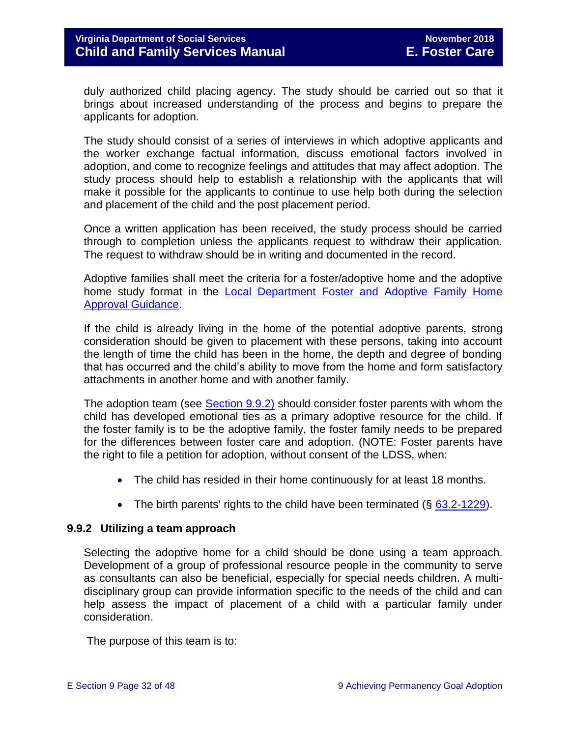duly authorized child placing agency. The study should be carried out so that it brings about increased understanding of the process and begins to prepare the applicants for adoption.

The study should consist of a series of interviews in which adoptive applicants and the worker exchange factual information, discuss emotional factors involved in adoption, and come to recognize feelings and attitudes that may affect adoption. The study process should help to establish a relationship with the applicants that will make it possible for the applicants to continue to use help both during the selection and placement of the child and the post placement period.

Once a written application has been received, the study process should be carried through to completion unless the applicants request to withdraw their application. The request to withdraw should be in writing and documented in the record.

Adoptive families shall meet the criteria for a foster/adoptive home and the adoptive home study format in the **Local Department Foster and Adoptive Family Home** [Approval Guidance.](http://www.dss.virginia.gov/files/division/dfs/fc/intro_page/guidance_manuals/other/gudiance_2_13.pdf)

If the child is already living in the home of the potential adoptive parents, strong consideration should be given to placement with these persons, taking into account the length of time the child has been in the home, the depth and degree of bonding that has occurred and the child's ability to move from the home and form satisfactory attachments in another home and with another family.

The adoption team (see [Section 9.9.2\)](#page-31-0) should consider foster parents with whom the child has developed emotional ties as a primary adoptive resource for the child. If the foster family is to be the adoptive family, the foster family needs to be prepared for the differences between foster care and adoption. (NOTE: Foster parents have the right to file a petition for adoption, without consent of the LDSS, when:

- The child has resided in their home continuously for at least 18 months.
- The birth parents' rights to the child have been terminated  $(\S$  [63.2-1229\)](http://law.lis.virginia.gov/vacode/63.2-1229/).

# <span id="page-31-0"></span>**9.9.2 Utilizing a team approach**

Selecting the adoptive home for a child should be done using a team approach. Development of a group of professional resource people in the community to serve as consultants can also be beneficial, especially for special needs children. A multidisciplinary group can provide information specific to the needs of the child and can help assess the impact of placement of a child with a particular family under consideration.

The purpose of this team is to: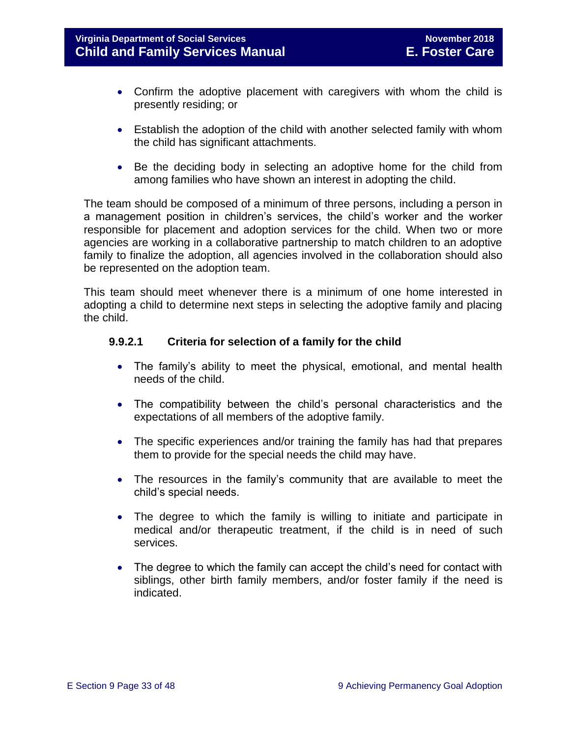- Confirm the adoptive placement with caregivers with whom the child is presently residing; or
- Establish the adoption of the child with another selected family with whom the child has significant attachments.
- Be the deciding body in selecting an adoptive home for the child from among families who have shown an interest in adopting the child.

The team should be composed of a minimum of three persons, including a person in a management position in children's services, the child's worker and the worker responsible for placement and adoption services for the child. When two or more agencies are working in a collaborative partnership to match children to an adoptive family to finalize the adoption, all agencies involved in the collaboration should also be represented on the adoption team.

This team should meet whenever there is a minimum of one home interested in adopting a child to determine next steps in selecting the adoptive family and placing the child.

# **9.9.2.1 Criteria for selection of a family for the child**

- The family's ability to meet the physical, emotional, and mental health needs of the child.
- The compatibility between the child's personal characteristics and the expectations of all members of the adoptive family.
- The specific experiences and/or training the family has had that prepares them to provide for the special needs the child may have.
- The resources in the family's community that are available to meet the child's special needs.
- The degree to which the family is willing to initiate and participate in medical and/or therapeutic treatment, if the child is in need of such services.
- The degree to which the family can accept the child's need for contact with siblings, other birth family members, and/or foster family if the need is indicated.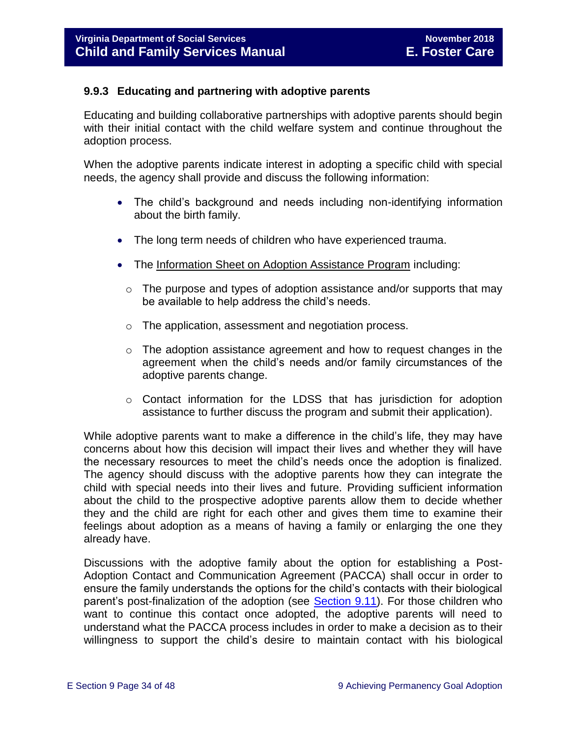# <span id="page-33-0"></span>**9.9.3 Educating and partnering with adoptive parents**

Educating and building collaborative partnerships with adoptive parents should begin with their initial contact with the child welfare system and continue throughout the adoption process.

When the adoptive parents indicate interest in adopting a specific child with special needs, the agency shall provide and discuss the following information:

- The child's background and needs including non-identifying information about the birth family.
- The long term needs of children who have experienced trauma.
- The [Information Sheet on Adoption Assistance Program](http://www.dss.virginia.gov/family/ap/index.cgi) including:
	- $\circ$  The purpose and types of adoption assistance and/or supports that may be available to help address the child's needs.
	- o The application, assessment and negotiation process.
	- $\circ$  The adoption assistance agreement and how to request changes in the agreement when the child's needs and/or family circumstances of the adoptive parents change.
	- o Contact information for the LDSS that has jurisdiction for adoption assistance to further discuss the program and submit their application).

While adoptive parents want to make a difference in the child's life, they may have concerns about how this decision will impact their lives and whether they will have the necessary resources to meet the child's needs once the adoption is finalized. The agency should discuss with the adoptive parents how they can integrate the child with special needs into their lives and future. Providing sufficient information about the child to the prospective adoptive parents allow them to decide whether they and the child are right for each other and gives them time to examine their feelings about adoption as a means of having a family or enlarging the one they already have.

Discussions with the adoptive family about the option for establishing a Post-Adoption Contact and Communication Agreement (PACCA) shall occur in order to ensure the family understands the options for the child's contacts with their biological parent's post-finalization of the adoption (see [Section 9.11\)](#page-38-0). For those children who want to continue this contact once adopted, the adoptive parents will need to understand what the PACCA process includes in order to make a decision as to their willingness to support the child's desire to maintain contact with his biological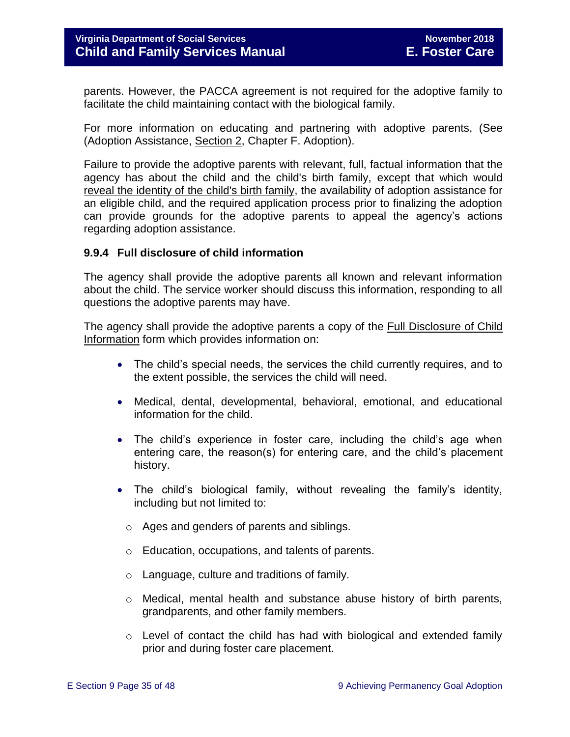parents. However, the PACCA agreement is not required for the adoptive family to facilitate the child maintaining contact with the biological family.

For more information on educating and partnering with adoptive parents, (See (Adoption Assistance, [Section 2,](http://www.dss.virginia.gov/family/ap/index.cgi) Chapter F. Adoption).

Failure to provide the adoptive parents with relevant, full, factual information that the agency has about the child and the child's birth family, except that which would reveal the identity of the child's birth family, the availability of adoption assistance for an eligible child, and the required application process prior to finalizing the adoption can provide grounds for the adoptive parents to appeal the agency's actions regarding adoption assistance.

# <span id="page-34-0"></span>**9.9.4 Full disclosure of child information**

The agency shall provide the adoptive parents all known and relevant information about the child. The service worker should discuss this information, responding to all questions the adoptive parents may have.

The agency shall provide the adoptive parents a copy of the **Full Disclosure of Child** [Information](http://www.dss.virginia.gov/family/ap/index.cgi) form which provides information on:

- The child's special needs, the services the child currently requires, and to the extent possible, the services the child will need.
- Medical, dental, developmental, behavioral, emotional, and educational information for the child.
- The child's experience in foster care, including the child's age when entering care, the reason(s) for entering care, and the child's placement history.
- The child's biological family, without revealing the family's identity, including but not limited to:
	- o Ages and genders of parents and siblings.
	- o Education, occupations, and talents of parents.
	- o Language, culture and traditions of family.
	- o Medical, mental health and substance abuse history of birth parents, grandparents, and other family members.
	- $\circ$  Level of contact the child has had with biological and extended family prior and during foster care placement.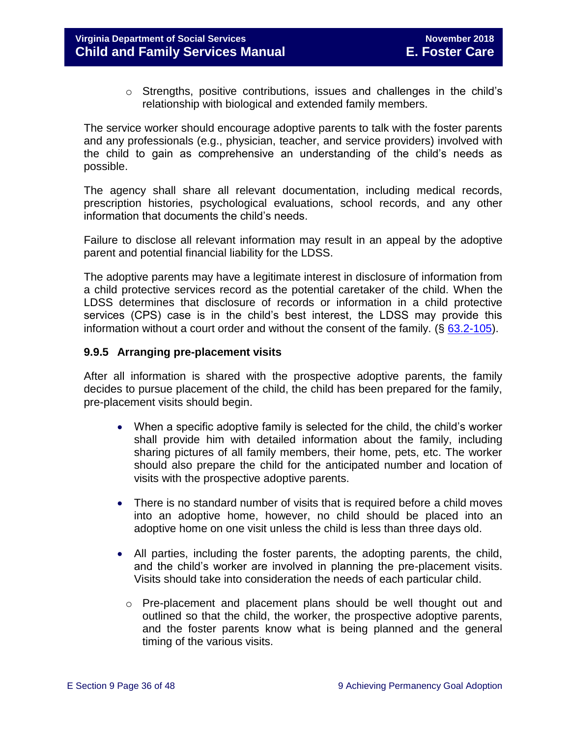$\circ$  Strengths, positive contributions, issues and challenges in the child's relationship with biological and extended family members.

The service worker should encourage adoptive parents to talk with the foster parents and any professionals (e.g., physician, teacher, and service providers) involved with the child to gain as comprehensive an understanding of the child's needs as possible.

The agency shall share all relevant documentation, including medical records, prescription histories, psychological evaluations, school records, and any other information that documents the child's needs.

Failure to disclose all relevant information may result in an appeal by the adoptive parent and potential financial liability for the LDSS.

The adoptive parents may have a legitimate interest in disclosure of information from a child protective services record as the potential caretaker of the child. When the LDSS determines that disclosure of records or information in a child protective services (CPS) case is in the child's best interest, the LDSS may provide this information without a court order and without the consent of the family.  $(\S$  [63.2-105\)](http://law.lis.virginia.gov/vacode/63.2-105/).

### <span id="page-35-0"></span>**9.9.5 Arranging pre-placement visits**

After all information is shared with the prospective adoptive parents, the family decides to pursue placement of the child, the child has been prepared for the family, pre-placement visits should begin.

- When a specific adoptive family is selected for the child, the child's worker shall provide him with detailed information about the family, including sharing pictures of all family members, their home, pets, etc. The worker should also prepare the child for the anticipated number and location of visits with the prospective adoptive parents.
- There is no standard number of visits that is required before a child moves into an adoptive home, however, no child should be placed into an adoptive home on one visit unless the child is less than three days old.
- All parties, including the foster parents, the adopting parents, the child, and the child's worker are involved in planning the pre-placement visits. Visits should take into consideration the needs of each particular child.
	- o Pre-placement and placement plans should be well thought out and outlined so that the child, the worker, the prospective adoptive parents, and the foster parents know what is being planned and the general timing of the various visits.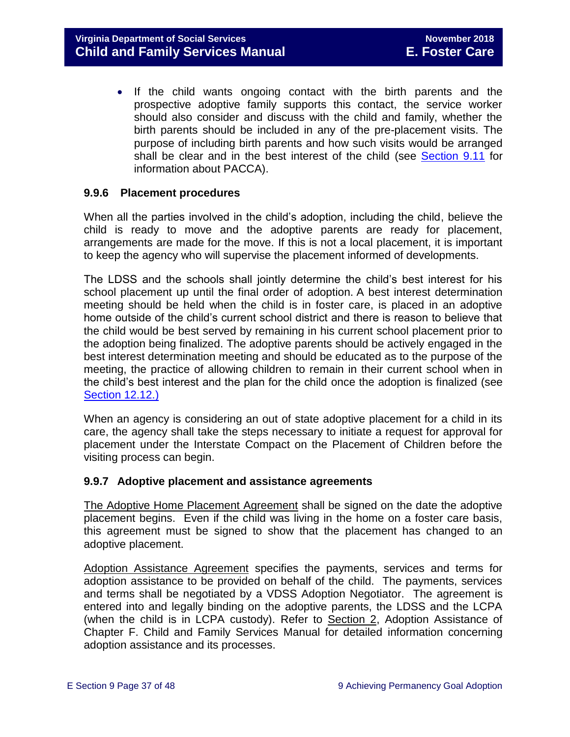• If the child wants ongoing contact with the birth parents and the prospective adoptive family supports this contact, the service worker should also consider and discuss with the child and family, whether the birth parents should be included in any of the pre-placement visits. The purpose of including birth parents and how such visits would be arranged shall be clear and in the best interest of the child (see [Section 9.11](#page-38-0) for information about PACCA).

### <span id="page-36-0"></span>**9.9.6 Placement procedures**

When all the parties involved in the child's adoption, including the child, believe the child is ready to move and the adoptive parents are ready for placement, arrangements are made for the move. If this is not a local placement, it is important to keep the agency who will supervise the placement informed of developments.

The LDSS and the schools shall jointly determine the child's best interest for his school placement up until the final order of adoption. A best interest determination meeting should be held when the child is in foster care, is placed in an adoptive home outside of the child's current school district and there is reason to believe that the child would be best served by remaining in his current school placement prior to the adoption being finalized. The adoptive parents should be actively engaged in the best interest determination meeting and should be educated as to the purpose of the meeting, the practice of allowing children to remain in their current school when in the child's best interest and the plan for the child once the adoption is finalized (see [Section 12.12.\)](file://///Vaultcelerra.co.dss.state.va.us/Workgroup/Family_Services/DFS%20Child%20and%20Family%20Services%20Manual/E.%20Foster%20Care/Foster%20Care%20June%202017/section_12_identifying_services_to_be_provided.draft.docx)

When an agency is considering an out of state adoptive placement for a child in its care, the agency shall take the steps necessary to initiate a request for approval for placement under the Interstate Compact on the Placement of Children before the visiting process can begin.

#### <span id="page-36-1"></span>**9.9.7 Adoptive placement and assistance agreements**

[The Adoptive Home Placement Agreement](http://www.dss.virginia.gov/family/ap/index.cgi) shall be signed on the date the adoptive placement begins. Even if the child was living in the home on a foster care basis, this agreement must be signed to show that the placement has changed to an adoptive placement.

[Adoption Assistance Agreement](http://www.dss.virginia.gov/family/ap/index.cgi) specifies the payments, services and terms for adoption assistance to be provided on behalf of the child. The payments, services and terms shall be negotiated by a VDSS Adoption Negotiator. The agreement is entered into and legally binding on the adoptive parents, the LDSS and the LCPA (when the child is in LCPA custody). Refer to [Section 2,](http://spark.dss.virginia.gov/divisions/dfs/ap/files/intro_page/manuals/07-01-2014/section_2_adoption_assistance.pdf) Adoption Assistance of Chapter F. Child and Family Services Manual for detailed information concerning adoption assistance and its processes.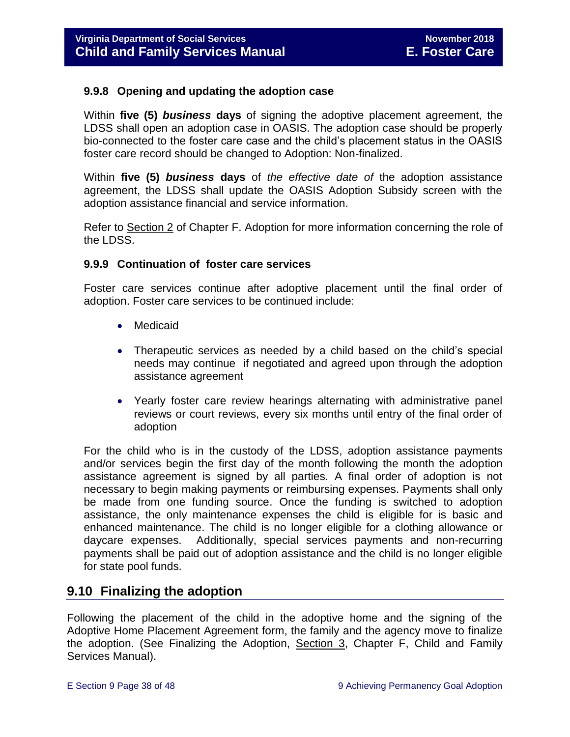### <span id="page-37-0"></span>**9.9.8 Opening and updating the adoption case**

Within **five (5)** *business* **days** of signing the adoptive placement agreement, the LDSS shall open an adoption case in OASIS. The adoption case should be properly bio-connected to the foster care case and the child's placement status in the OASIS foster care record should be changed to Adoption: Non-finalized.

Within **five (5)** *business* **days** of *the effective date of* the adoption assistance agreement, the LDSS shall update the OASIS Adoption Subsidy screen with the adoption assistance financial and service information.

Refer to [Section 2](http://spark.dss.virginia.gov/divisions/dfs/ap/files/intro_page/manuals/07-01-2014/section_2_adoption_assistance.pdf) of Chapter F. Adoption for more information concerning the role of the LDSS.

### <span id="page-37-1"></span>**9.9.9 Continuation of foster care services**

Foster care services continue after adoptive placement until the final order of adoption. Foster care services to be continued include:

- Medicaid
- Therapeutic services as needed by a child based on the child's special needs may continue if negotiated and agreed upon through the adoption assistance agreement
- Yearly foster care review hearings alternating with administrative panel reviews or court reviews, every six months until entry of the final order of adoption

For the child who is in the custody of the LDSS, adoption assistance payments and/or services begin the first day of the month following the month the adoption assistance agreement is signed by all parties. A final order of adoption is not necessary to begin making payments or reimbursing expenses. Payments shall only be made from one funding source. Once the funding is switched to adoption assistance, the only maintenance expenses the child is eligible for is basic and enhanced maintenance. The child is no longer eligible for a clothing allowance or daycare expenses. Additionally, special services payments and non-recurring payments shall be paid out of adoption assistance and the child is no longer eligible for state pool funds.

# <span id="page-37-2"></span>**9.10 Finalizing the adoption**

Following the placement of the child in the adoptive home and the signing of the Adoptive Home Placement Agreement form, the family and the agency move to finalize the adoption. (See Finalizing the Adoption, [Section 3,](http://www.dss.virginia.gov/files/division/dfs/ap/intro_page/manuals/10-15-2013/section_03.pdf) Chapter F, Child and Family Services Manual).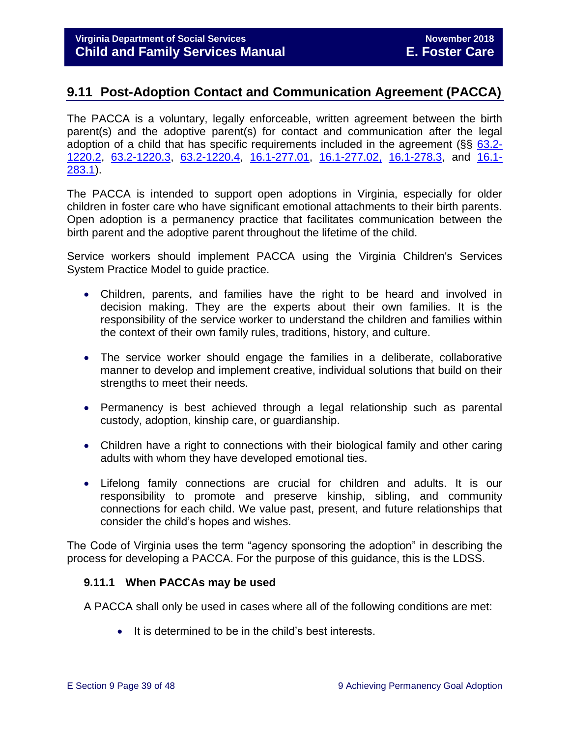# <span id="page-38-0"></span>**9.11 Post-Adoption Contact and Communication Agreement (PACCA)**

The PACCA is a voluntary, legally enforceable, written agreement between the birth parent(s) and the adoptive parent(s) for contact and communication after the legal adoption of a child that has specific requirements included in the agreement (§§ [63.2-](http://law.lis.virginia.gov/vacode/63.2-1220.2/) [1220.2,](http://law.lis.virginia.gov/vacode/63.2-1220.2/) [63.2-1220.3,](http://law.lis.virginia.gov/vacode/title63.2/chapter12/section63.2-1220.3/) [63.2-1220.4,](http://law.lis.virginia.gov/vacode/title63.2/chapter12/section63.2-1220.4/) [16.1-277.01,](http://law.lis.virginia.gov/vacode/16.1-277.01/) [16.1-277.02,](http://law.lis.virginia.gov/vacode/title16.1/chapter11/section16.1-277.02/) [16.1-278.3,](http://law.lis.virginia.gov/vacode/16.1-278.3/) and [16.1-](http://law.lis.virginia.gov/vacode/16.1-283.1/) [283.1\)](http://law.lis.virginia.gov/vacode/16.1-283.1/).

The PACCA is intended to support open adoptions in Virginia, especially for older children in foster care who have significant emotional attachments to their birth parents. Open adoption is a permanency practice that facilitates communication between the birth parent and the adoptive parent throughout the lifetime of the child.

Service workers should implement PACCA using the Virginia Children's Services System Practice Model to guide practice.

- Children, parents, and families have the right to be heard and involved in decision making. They are the experts about their own families. It is the responsibility of the service worker to understand the children and families within the context of their own family rules, traditions, history, and culture.
- The service worker should engage the families in a deliberate, collaborative manner to develop and implement creative, individual solutions that build on their strengths to meet their needs.
- Permanency is best achieved through a legal relationship such as parental custody, adoption, kinship care, or guardianship.
- Children have a right to connections with their biological family and other caring adults with whom they have developed emotional ties.
- Lifelong family connections are crucial for children and adults. It is our responsibility to promote and preserve kinship, sibling, and community connections for each child. We value past, present, and future relationships that consider the child's hopes and wishes.

The Code of Virginia uses the term "agency sponsoring the adoption" in describing the process for developing a PACCA. For the purpose of this guidance, this is the LDSS.

# <span id="page-38-1"></span>**9.11.1 When PACCAs may be used**

A PACCA shall only be used in cases where all of the following conditions are met:

• It is determined to be in the child's best interests.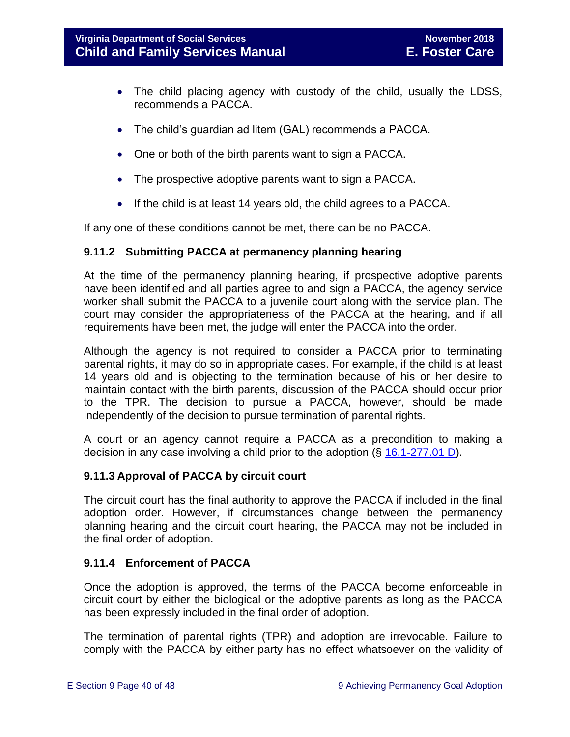- The child placing agency with custody of the child, usually the LDSS, recommends a PACCA.
- The child's guardian ad litem (GAL) recommends a PACCA.
- One or both of the birth parents want to sign a PACCA.
- The prospective adoptive parents want to sign a PACCA.
- If the child is at least 14 years old, the child agrees to a PACCA.

If any one of these conditions cannot be met, there can be no PACCA.

### <span id="page-39-0"></span>**9.11.2 Submitting PACCA at permanency planning hearing**

At the time of the permanency planning hearing, if prospective adoptive parents have been identified and all parties agree to and sign a PACCA, the agency service worker shall submit the PACCA to a juvenile court along with the service plan. The court may consider the appropriateness of the PACCA at the hearing, and if all requirements have been met, the judge will enter the PACCA into the order.

Although the agency is not required to consider a PACCA prior to terminating parental rights, it may do so in appropriate cases. For example, if the child is at least 14 years old and is objecting to the termination because of his or her desire to maintain contact with the birth parents, discussion of the PACCA should occur prior to the TPR. The decision to pursue a PACCA, however, should be made independently of the decision to pursue termination of parental rights.

A court or an agency cannot require a PACCA as a precondition to making a decision in any case involving a child prior to the adoption (§ [16.1-277.01 D\)](http://law.lis.virginia.gov/vacode/16.1-277.01/).

# <span id="page-39-1"></span>**9.11.3 Approval of PACCA by circuit court**

The circuit court has the final authority to approve the PACCA if included in the final adoption order. However, if circumstances change between the permanency planning hearing and the circuit court hearing, the PACCA may not be included in the final order of adoption.

# <span id="page-39-2"></span>**9.11.4 Enforcement of PACCA**

Once the adoption is approved, the terms of the PACCA become enforceable in circuit court by either the biological or the adoptive parents as long as the PACCA has been expressly included in the final order of adoption.

The termination of parental rights (TPR) and adoption are irrevocable. Failure to comply with the PACCA by either party has no effect whatsoever on the validity of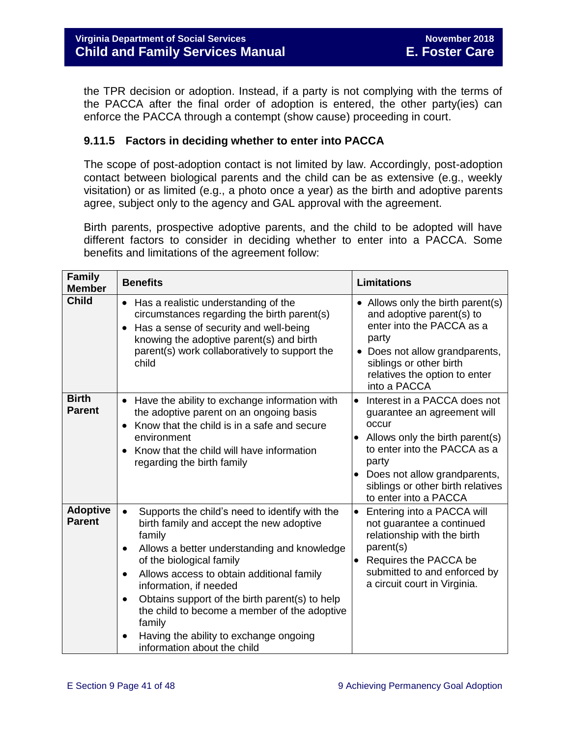the TPR decision or adoption. Instead, if a party is not complying with the terms of the PACCA after the final order of adoption is entered, the other party(ies) can enforce the PACCA through a contempt (show cause) proceeding in court.

# <span id="page-40-0"></span>**9.11.5 Factors in deciding whether to enter into PACCA**

The scope of post-adoption contact is not limited by law. Accordingly, post-adoption contact between biological parents and the child can be as extensive (e.g., weekly visitation) or as limited (e.g., a photo once a year) as the birth and adoptive parents agree, subject only to the agency and GAL approval with the agreement.

Birth parents, prospective adoptive parents, and the child to be adopted will have different factors to consider in deciding whether to enter into a PACCA. Some benefits and limitations of the agreement follow:

| <b>Family</b><br><b>Member</b>   | <b>Benefits</b>                                                                                                                                                                                                                                                                                                                                                                                                                                                                                              | <b>Limitations</b>                                                                                                                                                                                                                                                       |
|----------------------------------|--------------------------------------------------------------------------------------------------------------------------------------------------------------------------------------------------------------------------------------------------------------------------------------------------------------------------------------------------------------------------------------------------------------------------------------------------------------------------------------------------------------|--------------------------------------------------------------------------------------------------------------------------------------------------------------------------------------------------------------------------------------------------------------------------|
| <b>Child</b>                     | Has a realistic understanding of the<br>$\bullet$<br>circumstances regarding the birth parent(s)<br>Has a sense of security and well-being<br>knowing the adoptive parent(s) and birth<br>parent(s) work collaboratively to support the<br>child                                                                                                                                                                                                                                                             | Allows only the birth parent(s)<br>and adoptive parent(s) to<br>enter into the PACCA as a<br>party<br>• Does not allow grandparents,<br>siblings or other birth<br>relatives the option to enter<br>into a PACCA                                                         |
| <b>Birth</b><br><b>Parent</b>    | Have the ability to exchange information with<br>$\bullet$<br>the adoptive parent on an ongoing basis<br>Know that the child is in a safe and secure<br>environment<br>Know that the child will have information<br>regarding the birth family                                                                                                                                                                                                                                                               | Interest in a PACCA does not<br>$\bullet$<br>guarantee an agreement will<br>occur<br>Allows only the birth parent(s)<br>$\bullet$<br>to enter into the PACCA as a<br>party<br>Does not allow grandparents,<br>siblings or other birth relatives<br>to enter into a PACCA |
| <b>Adoptive</b><br><b>Parent</b> | Supports the child's need to identify with the<br>$\bullet$<br>birth family and accept the new adoptive<br>family<br>Allows a better understanding and knowledge<br>$\bullet$<br>of the biological family<br>Allows access to obtain additional family<br>$\bullet$<br>information, if needed<br>Obtains support of the birth parent(s) to help<br>$\bullet$<br>the child to become a member of the adoptive<br>family<br>Having the ability to exchange ongoing<br>$\bullet$<br>information about the child | Entering into a PACCA will<br>not guarantee a continued<br>relationship with the birth<br>parent(s)<br>Requires the PACCA be<br>submitted to and enforced by<br>a circuit court in Virginia.                                                                             |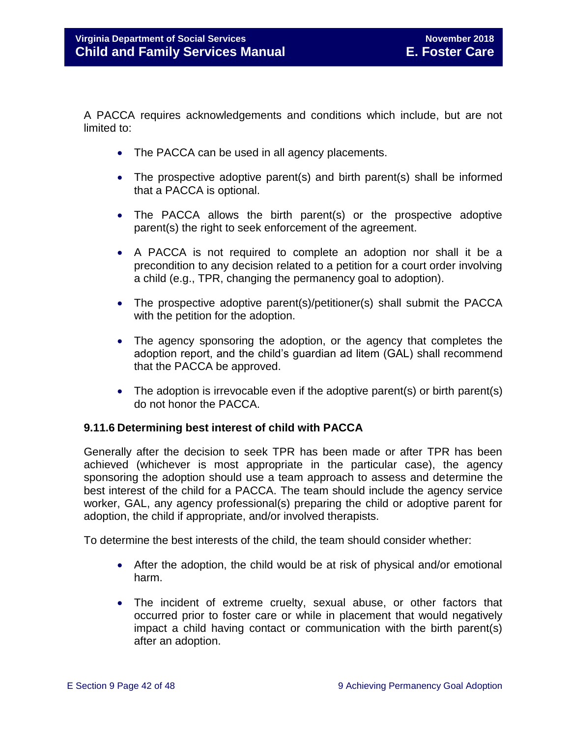A PACCA requires acknowledgements and conditions which include, but are not limited to:

- The PACCA can be used in all agency placements.
- The prospective adoptive parent(s) and birth parent(s) shall be informed that a PACCA is optional.
- The PACCA allows the birth parent(s) or the prospective adoptive parent(s) the right to seek enforcement of the agreement.
- A PACCA is not required to complete an adoption nor shall it be a precondition to any decision related to a petition for a court order involving a child (e.g., TPR, changing the permanency goal to adoption).
- The prospective adoptive parent(s)/petitioner(s) shall submit the PACCA with the petition for the adoption.
- The agency sponsoring the adoption, or the agency that completes the adoption report, and the child's guardian ad litem (GAL) shall recommend that the PACCA be approved.
- The adoption is irrevocable even if the adoptive parent(s) or birth parent(s) do not honor the PACCA.

# <span id="page-41-0"></span>**9.11.6 Determining best interest of child with PACCA**

Generally after the decision to seek TPR has been made or after TPR has been achieved (whichever is most appropriate in the particular case), the agency sponsoring the adoption should use a team approach to assess and determine the best interest of the child for a PACCA. The team should include the agency service worker, GAL, any agency professional(s) preparing the child or adoptive parent for adoption, the child if appropriate, and/or involved therapists.

To determine the best interests of the child, the team should consider whether:

- After the adoption, the child would be at risk of physical and/or emotional harm.
- The incident of extreme cruelty, sexual abuse, or other factors that occurred prior to foster care or while in placement that would negatively impact a child having contact or communication with the birth parent(s) after an adoption.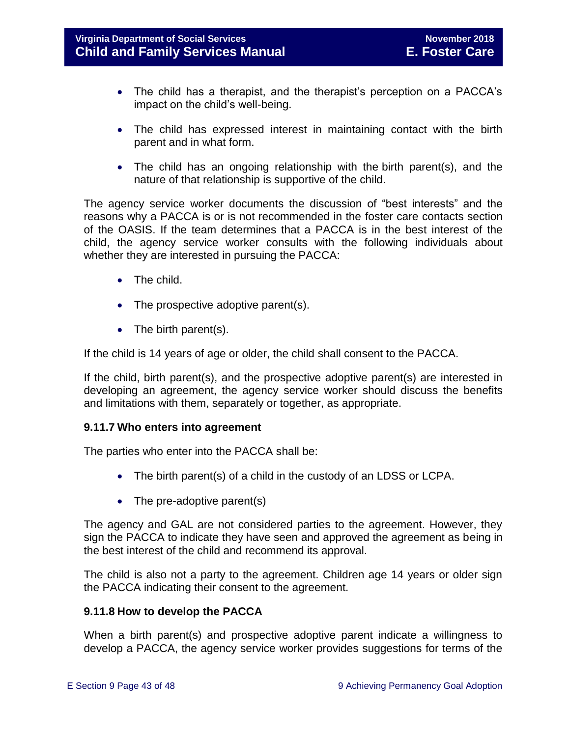- The child has a therapist, and the therapist's perception on a PACCA's impact on the child's well-being.
- The child has expressed interest in maintaining contact with the birth parent and in what form.
- The child has an ongoing relationship with the birth parent(s), and the nature of that relationship is supportive of the child.

The agency service worker documents the discussion of "best interests" and the reasons why a PACCA is or is not recommended in the foster care contacts section of the OASIS. If the team determines that a PACCA is in the best interest of the child, the agency service worker consults with the following individuals about whether they are interested in pursuing the PACCA:

- The child.
- The prospective adoptive parent(s).
- The birth parent(s).

If the child is 14 years of age or older, the child shall consent to the PACCA.

If the child, birth parent(s), and the prospective adoptive parent(s) are interested in developing an agreement, the agency service worker should discuss the benefits and limitations with them, separately or together, as appropriate.

# <span id="page-42-0"></span>**9.11.7 Who enters into agreement**

The parties who enter into the PACCA shall be:

- The birth parent(s) of a child in the custody of an LDSS or LCPA.
- $\bullet$  The pre-adoptive parent(s)

The agency and GAL are not considered parties to the agreement. However, they sign the PACCA to indicate they have seen and approved the agreement as being in the best interest of the child and recommend its approval.

The child is also not a party to the agreement. Children age 14 years or older sign the PACCA indicating their consent to the agreement.

# <span id="page-42-1"></span>**9.11.8 How to develop the PACCA**

When a birth parent(s) and prospective adoptive parent indicate a willingness to develop a PACCA, the agency service worker provides suggestions for terms of the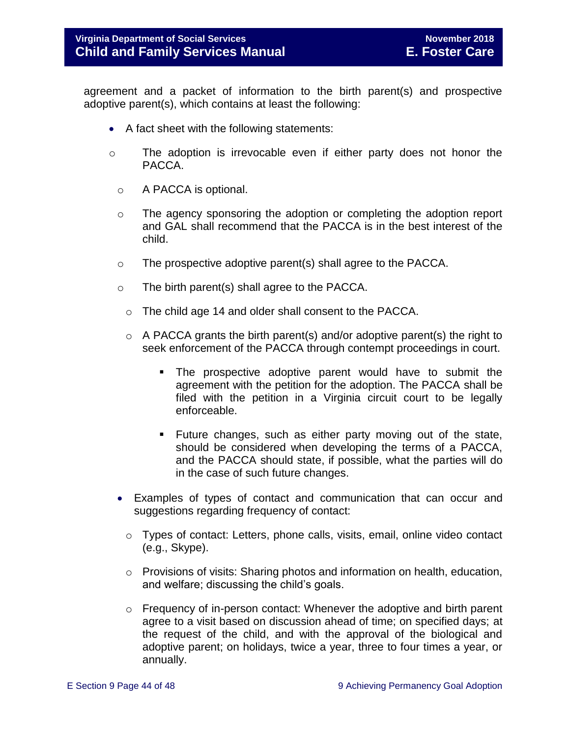agreement and a packet of information to the birth parent(s) and prospective adoptive parent(s), which contains at least the following:

- A fact sheet with the following statements:
- o The adoption is irrevocable even if either party does not honor the PACCA.
	- o A PACCA is optional.
	- $\circ$  The agency sponsoring the adoption or completing the adoption report and GAL shall recommend that the PACCA is in the best interest of the child.
	- o The prospective adoptive parent(s) shall agree to the PACCA.
	- o The birth parent(s) shall agree to the PACCA.
		- o The child age 14 and older shall consent to the PACCA.
		- $\circ$  A PACCA grants the birth parent(s) and/or adoptive parent(s) the right to seek enforcement of the PACCA through contempt proceedings in court.
			- The prospective adoptive parent would have to submit the agreement with the petition for the adoption. The PACCA shall be filed with the petition in a Virginia circuit court to be legally enforceable.
			- Future changes, such as either party moving out of the state, should be considered when developing the terms of a PACCA, and the PACCA should state, if possible, what the parties will do in the case of such future changes.
	- Examples of types of contact and communication that can occur and suggestions regarding frequency of contact:
		- $\circ$  Types of contact: Letters, phone calls, visits, email, online video contact (e.g., Skype).
		- $\circ$  Provisions of visits: Sharing photos and information on health, education, and welfare; discussing the child's goals.
		- o Frequency of in-person contact: Whenever the adoptive and birth parent agree to a visit based on discussion ahead of time; on specified days; at the request of the child, and with the approval of the biological and adoptive parent; on holidays, twice a year, three to four times a year, or annually.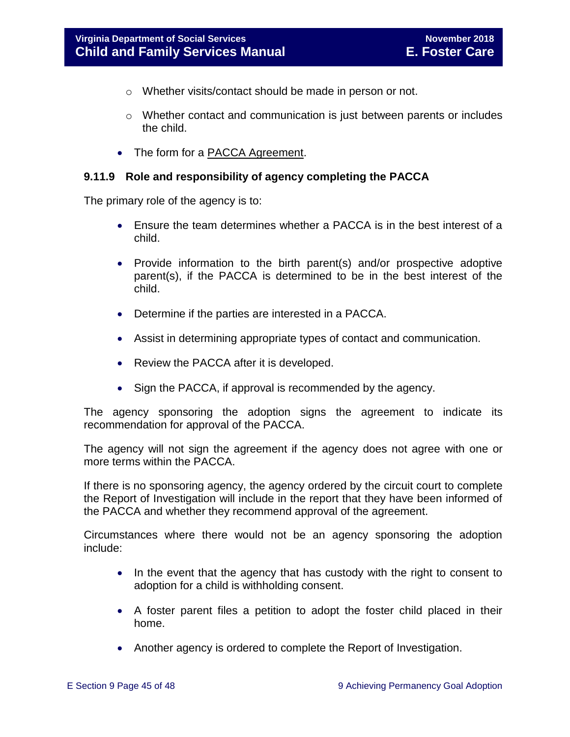- o Whether visits/contact should be made in person or not.
- $\circ$  Whether contact and communication is just between parents or includes the child.
- The form for a [PACCA Agreement.](http://www.dss.virginia.gov/family/ap/index.cgi)

### <span id="page-44-0"></span>**9.11.9 Role and responsibility of agency completing the PACCA**

The primary role of the agency is to:

- Ensure the team determines whether a PACCA is in the best interest of a child.
- Provide information to the birth parent(s) and/or prospective adoptive parent(s), if the PACCA is determined to be in the best interest of the child.
- Determine if the parties are interested in a PACCA.
- Assist in determining appropriate types of contact and communication.
- Review the PACCA after it is developed.
- Sign the PACCA, if approval is recommended by the agency.

The agency sponsoring the adoption signs the agreement to indicate its recommendation for approval of the PACCA.

The agency will not sign the agreement if the agency does not agree with one or more terms within the PACCA.

If there is no sponsoring agency, the agency ordered by the circuit court to complete the Report of Investigation will include in the report that they have been informed of the PACCA and whether they recommend approval of the agreement.

Circumstances where there would not be an agency sponsoring the adoption include:

- In the event that the agency that has custody with the right to consent to adoption for a child is withholding consent.
- A foster parent files a petition to adopt the foster child placed in their home.
- Another agency is ordered to complete the Report of Investigation.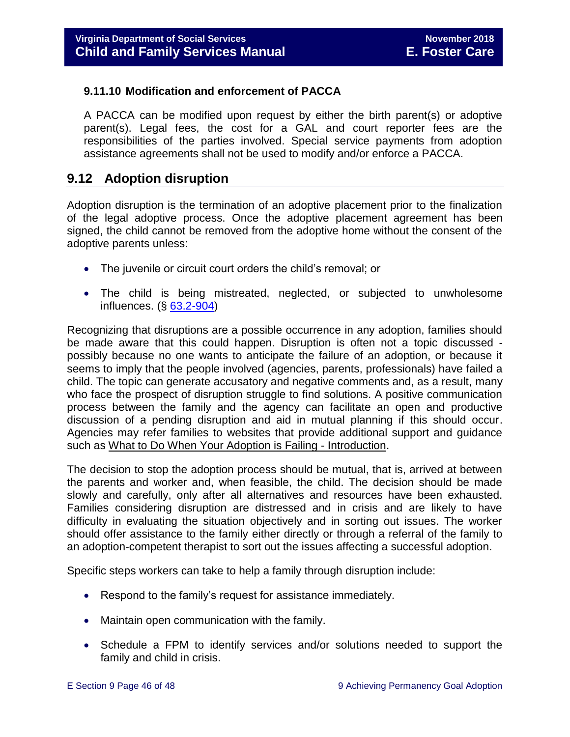# <span id="page-45-0"></span>**9.11.10 Modification and enforcement of PACCA**

A PACCA can be modified upon request by either the birth parent(s) or adoptive parent(s). Legal fees, the cost for a GAL and court reporter fees are the responsibilities of the parties involved. Special service payments from adoption assistance agreements shall not be used to modify and/or enforce a PACCA.

# <span id="page-45-1"></span>**9.12 Adoption disruption**

Adoption disruption is the termination of an adoptive placement prior to the finalization of the legal adoptive process. Once the adoptive placement agreement has been signed, the child cannot be removed from the adoptive home without the consent of the adoptive parents unless:

- The juvenile or circuit court orders the child's removal; or
- The child is being mistreated, neglected, or subjected to unwholesome influences. (§ [63.2-904\)](http://law.lis.virginia.gov/vacode/63.2-904/)

Recognizing that disruptions are a possible occurrence in any adoption, families should be made aware that this could happen. Disruption is often not a topic discussed possibly because no one wants to anticipate the failure of an adoption, or because it seems to imply that the people involved (agencies, parents, professionals) have failed a child. The topic can generate accusatory and negative comments and, as a result, many who face the prospect of disruption struggle to find solutions. A positive communication process between the family and the agency can facilitate an open and productive discussion of a pending disruption and aid in mutual planning if this should occur. Agencies may refer families to websites that provide additional support and guidance such as What to [Do When Your Adoption is Failing -](http://library.adoption.com/articles/what-to-do-when-your-adoption-is-failing-a-parents-guide-to-adoption-disruption-dissolution.html) Introduction.

The decision to stop the adoption process should be mutual, that is, arrived at between the parents and worker and, when feasible, the child. The decision should be made slowly and carefully, only after all alternatives and resources have been exhausted. Families considering disruption are distressed and in crisis and are likely to have difficulty in evaluating the situation objectively and in sorting out issues. The worker should offer assistance to the family either directly or through a referral of the family to an adoption-competent therapist to sort out the issues affecting a successful adoption.

Specific steps workers can take to help a family through disruption include:

- Respond to the family's request for assistance immediately.
- Maintain open communication with the family.
- Schedule a FPM to identify services and/or solutions needed to support the family and child in crisis.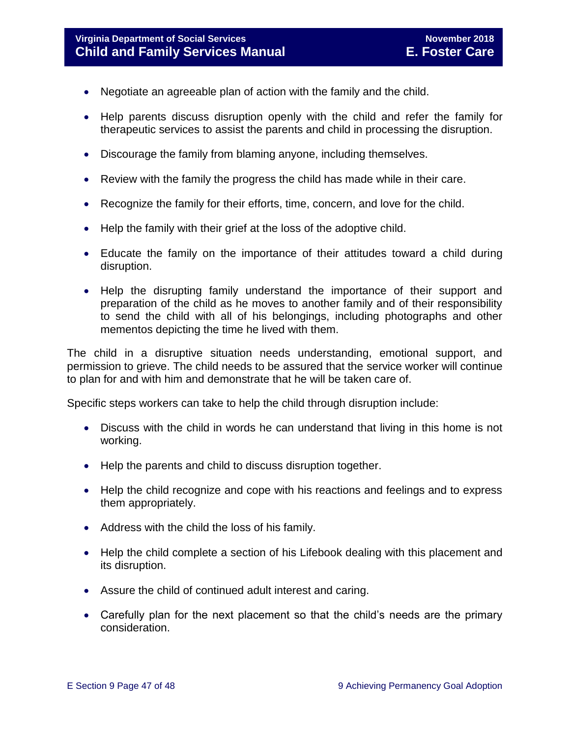# **Virginia Department of Social Services November 2018 Child and Family Services Manual E. Foster Care**

- Negotiate an agreeable plan of action with the family and the child.
- Help parents discuss disruption openly with the child and refer the family for therapeutic services to assist the parents and child in processing the disruption.
- Discourage the family from blaming anyone, including themselves.
- Review with the family the progress the child has made while in their care.
- Recognize the family for their efforts, time, concern, and love for the child.
- Help the family with their grief at the loss of the adoptive child.
- Educate the family on the importance of their attitudes toward a child during disruption.
- Help the disrupting family understand the importance of their support and preparation of the child as he moves to another family and of their responsibility to send the child with all of his belongings, including photographs and other mementos depicting the time he lived with them.

The child in a disruptive situation needs understanding, emotional support, and permission to grieve. The child needs to be assured that the service worker will continue to plan for and with him and demonstrate that he will be taken care of.

Specific steps workers can take to help the child through disruption include:

- Discuss with the child in words he can understand that living in this home is not working.
- Help the parents and child to discuss disruption together.
- Help the child recognize and cope with his reactions and feelings and to express them appropriately.
- Address with the child the loss of his family.
- Help the child complete a section of his Lifebook dealing with this placement and its disruption.
- Assure the child of continued adult interest and caring.
- Carefully plan for the next placement so that the child's needs are the primary consideration.